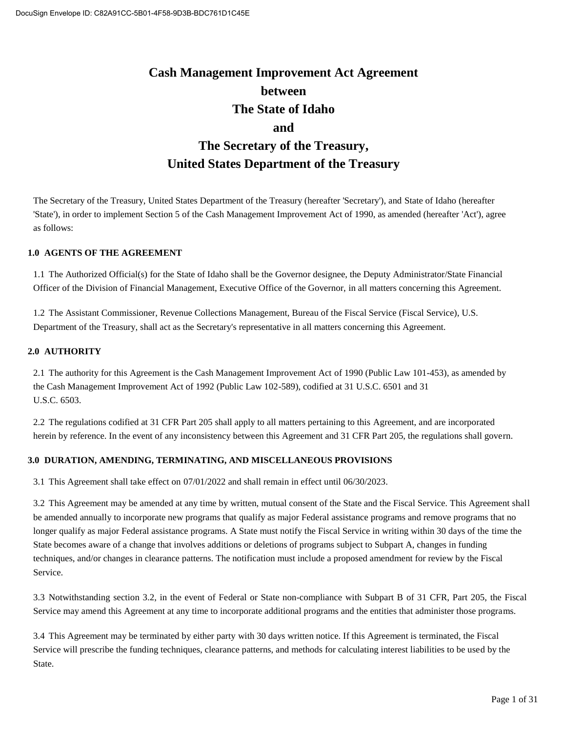## **Cash Management Improvement Act Agreement between The State of Idaho and The Secretary of the Treasury, United States Department of the Treasury**

The Secretary of the Treasury, United States Department of the Treasury (hereafter 'Secretary'), and State of Idaho (hereafter 'State'), in order to implement Section 5 of the Cash Management Improvement Act of 1990, as amended (hereafter 'Act'), agree as follows:

#### **1.0 AGENTS OF THE AGREEMENT**

1.1 The Authorized Official(s) for the State of Idaho shall be the Governor designee, the Deputy Administrator/State Financial Officer of the Division of Financial Management, Executive Office of the Governor, in all matters concerning this Agreement.

1.2 The Assistant Commissioner, Revenue Collections Management, Bureau of the Fiscal Service (Fiscal Service), U.S. Department of the Treasury, shall act as the Secretary's representative in all matters concerning this Agreement.

#### **2.0 AUTHORITY**

2.1 The authority for this Agreement is the Cash Management Improvement Act of 1990 (Public Law 101-453), as amended by the Cash Management Improvement Act of 1992 (Public Law 102-589), codified at 31 U.S.C. 6501 and 31 U.S.C. 6503.

2.2 The regulations codified at 31 CFR Part 205 shall apply to all matters pertaining to this Agreement, and are incorporated herein by reference. In the event of any inconsistency between this Agreement and 31 CFR Part 205, the regulations shall govern.

#### **3.0 DURATION, AMENDING, TERMINATING, AND MISCELLANEOUS PROVISIONS**

3.1 This Agreement shall take effect on 07/01/2022 and shall remain in effect until 06/30/2023.

3.2 This Agreement may be amended at any time by written, mutual consent of the State and the Fiscal Service. This Agreement shall be amended annually to incorporate new programs that qualify as major Federal assistance programs and remove programs that no longer qualify as major Federal assistance programs. A State must notify the Fiscal Service in writing within 30 days of the time the State becomes aware of a change that involves additions or deletions of programs subject to Subpart A, changes in funding techniques, and/or changes in clearance patterns. The notification must include a proposed amendment for review by the Fiscal Service.

3.3 Notwithstanding section 3.2, in the event of Federal or State non-compliance with Subpart B of 31 CFR, Part 205, the Fiscal Service may amend this Agreement at any time to incorporate additional programs and the entities that administer those programs.

3.4 This Agreement may be terminated by either party with 30 days written notice. If this Agreement is terminated, the Fiscal Service will prescribe the funding techniques, clearance patterns, and methods for calculating interest liabilities to be used by the State.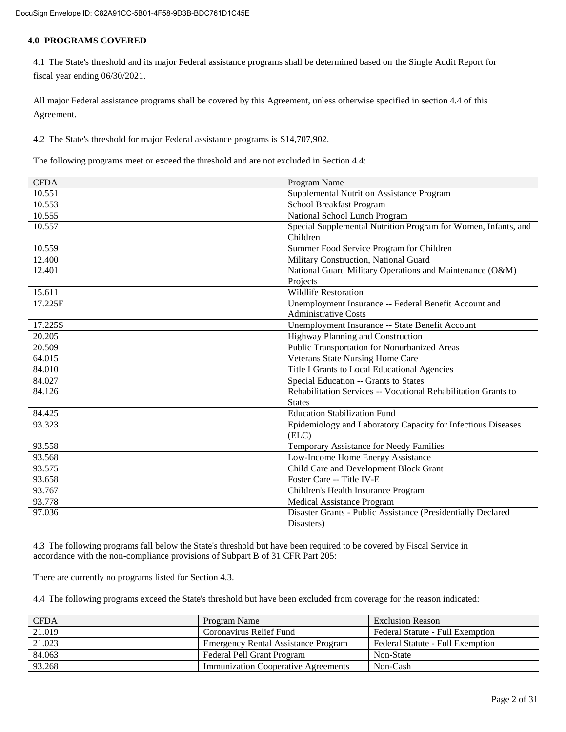#### **4.0 PROGRAMS COVERED**

4.1 The State's threshold and its major Federal assistance programs shall be determined based on the Single Audit Report for fiscal year ending 06/30/2021.

All major Federal assistance programs shall be covered by this Agreement, unless otherwise specified in section 4.4 of this Agreement.

4.2 The State's threshold for major Federal assistance programs is \$14,707,902.

The following programs meet or exceed the threshold and are not excluded in Section 4.4:

| <b>CFDA</b> | Program Name                                                   |
|-------------|----------------------------------------------------------------|
| 10.551      | Supplemental Nutrition Assistance Program                      |
| 10.553      | School Breakfast Program                                       |
| 10.555      | National School Lunch Program                                  |
| 10.557      | Special Supplemental Nutrition Program for Women, Infants, and |
|             | Children                                                       |
| 10.559      | Summer Food Service Program for Children                       |
| 12.400      | Military Construction, National Guard                          |
| 12.401      | National Guard Military Operations and Maintenance (O&M)       |
|             | Projects                                                       |
| 15.611      | <b>Wildlife Restoration</b>                                    |
| 17.225F     | Unemployment Insurance -- Federal Benefit Account and          |
|             | <b>Administrative Costs</b>                                    |
| 17.225S     | Unemployment Insurance -- State Benefit Account                |
| 20.205      | Highway Planning and Construction                              |
| 20.509      | Public Transportation for Nonurbanized Areas                   |
| 64.015      | Veterans State Nursing Home Care                               |
| 84.010      | Title I Grants to Local Educational Agencies                   |
| 84.027      | Special Education -- Grants to States                          |
| 84.126      | Rehabilitation Services -- Vocational Rehabilitation Grants to |
|             | <b>States</b>                                                  |
| 84.425      | <b>Education Stabilization Fund</b>                            |
| 93.323      | Epidemiology and Laboratory Capacity for Infectious Diseases   |
|             | (ELC)                                                          |
| 93.558      | Temporary Assistance for Needy Families                        |
| 93.568      | Low-Income Home Energy Assistance                              |
| 93.575      | Child Care and Development Block Grant                         |
| 93.658      | Foster Care -- Title IV-E                                      |
| 93.767      | Children's Health Insurance Program                            |
| 93.778      | <b>Medical Assistance Program</b>                              |
| 97.036      | Disaster Grants - Public Assistance (Presidentially Declared   |
|             | Disasters)                                                     |

4.3 The following programs fall below the State's threshold but have been required to be covered by Fiscal Service in accordance with the non-compliance provisions of Subpart B of 31 CFR Part 205:

There are currently no programs listed for Section 4.3.

4.4 The following programs exceed the State's threshold but have been excluded from coverage for the reason indicated:

| <b>CFDA</b> | Program Name                               | <b>Exclusion Reason</b>          |
|-------------|--------------------------------------------|----------------------------------|
| 21.019      | Coronavirus Relief Fund                    | Federal Statute - Full Exemption |
| 21.023      | <b>Emergency Rental Assistance Program</b> | Federal Statute - Full Exemption |
| 84.063      | Federal Pell Grant Program                 | Non-State                        |
| 93.268      | <b>Immunization Cooperative Agreements</b> | Non-Cash                         |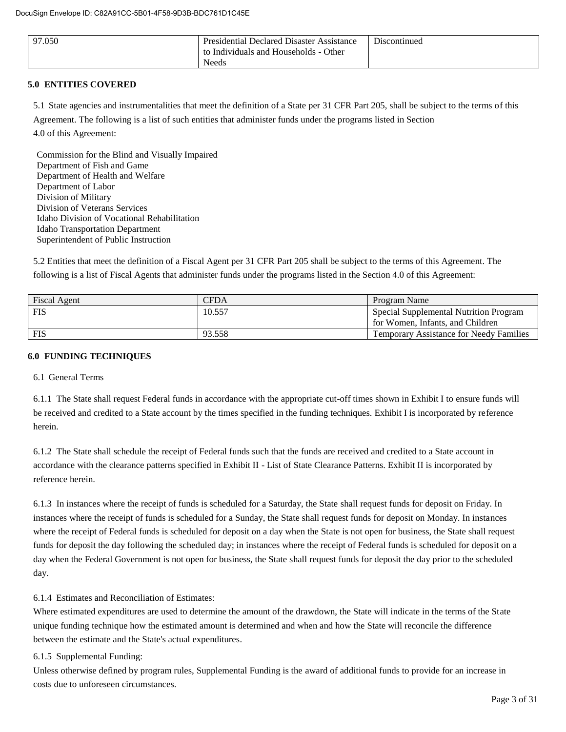| 97.050 | <b>Presidential Declared Disaster Assistance</b><br>to Individuals and Households - Other | Discontinued |
|--------|-------------------------------------------------------------------------------------------|--------------|
|        | Needs                                                                                     |              |

#### **5.0 ENTITIES COVERED**

5.1 State agencies and instrumentalities that meet the definition of a State per 31 CFR Part 205, shall be subject to the terms of this

Agreement. The following is a list of such entities that administer funds under the programs listed in Section

4.0 of this Agreement:

Commission for the Blind and Visually Impaired Department of Fish and Game Department of Health and Welfare Department of Labor Division of Military Division of Veterans Services Idaho Division of Vocational Rehabilitation Idaho Transportation Department Superintendent of Public Instruction

5.2 Entities that meet the definition of a Fiscal Agent per 31 CFR Part 205 shall be subject to the terms of this Agreement. The following is a list of Fiscal Agents that administer funds under the programs listed in the Section 4.0 of this Agreement:

| <b>Fiscal Agent</b> | CFDA   | Program Name                                   |
|---------------------|--------|------------------------------------------------|
| <b>FIS</b>          | 10.557 | Special Supplemental Nutrition Program         |
|                     |        | for Women, Infants, and Children               |
| <b>FIS</b>          | 93.558 | <b>Temporary Assistance for Needy Families</b> |

#### **6.0 FUNDING TECHNIQUES**

#### 6.1 General Terms

6.1.1 The State shall request Federal funds in accordance with the appropriate cut-off times shown in Exhibit I to ensure funds will be received and credited to a State account by the times specified in the funding techniques. Exhibit I is incorporated by reference herein.

6.1.2 The State shall schedule the receipt of Federal funds such that the funds are received and credited to a State account in accordance with the clearance patterns specified in Exhibit II - List of State Clearance Patterns. Exhibit II is incorporated by reference herein.

6.1.3 In instances where the receipt of funds is scheduled for a Saturday, the State shall request funds for deposit on Friday. In instances where the receipt of funds is scheduled for a Sunday, the State shall request funds for deposit on Monday. In instances where the receipt of Federal funds is scheduled for deposit on a day when the State is not open for business, the State shall request funds for deposit the day following the scheduled day; in instances where the receipt of Federal funds is scheduled for deposit on a day when the Federal Government is not open for business, the State shall request funds for deposit the day prior to the scheduled day.

6.1.4 Estimates and Reconciliation of Estimates:

Where estimated expenditures are used to determine the amount of the drawdown, the State will indicate in the terms of the State unique funding technique how the estimated amount is determined and when and how the State will reconcile the difference between the estimate and the State's actual expenditures.

6.1.5 Supplemental Funding:

Unless otherwise defined by program rules, Supplemental Funding is the award of additional funds to provide for an increase in costs due to unforeseen circumstances.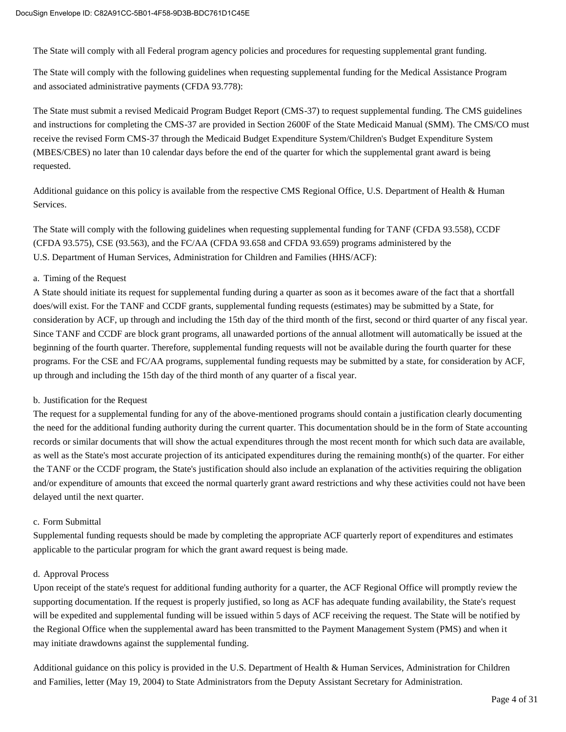The State will comply with all Federal program agency policies and procedures for requesting supplemental grant funding.

The State will comply with the following guidelines when requesting supplemental funding for the Medical Assistance Program and associated administrative payments (CFDA 93.778):

The State must submit a revised Medicaid Program Budget Report (CMS-37) to request supplemental funding. The CMS guidelines and instructions for completing the CMS-37 are provided in Section 2600F of the State Medicaid Manual (SMM). The CMS/CO must receive the revised Form CMS-37 through the Medicaid Budget Expenditure System/Children's Budget Expenditure System (MBES/CBES) no later than 10 calendar days before the end of the quarter for which the supplemental grant award is being requested.

Additional guidance on this policy is available from the respective CMS Regional Office, U.S. Department of Health & Human Services.

The State will comply with the following guidelines when requesting supplemental funding for TANF (CFDA 93.558), CCDF (CFDA 93.575), CSE (93.563), and the FC/AA (CFDA 93.658 and CFDA 93.659) programs administered by the U.S. Department of Human Services, Administration for Children and Families (HHS/ACF):

#### a. Timing of the Request

A State should initiate its request for supplemental funding during a quarter as soon as it becomes aware of the fact that a shortfall does/will exist. For the TANF and CCDF grants, supplemental funding requests (estimates) may be submitted by a State, for consideration by ACF, up through and including the 15th day of the third month of the first, second or third quarter of any fiscal year. Since TANF and CCDF are block grant programs, all unawarded portions of the annual allotment will automatically be issued at the beginning of the fourth quarter. Therefore, supplemental funding requests will not be available during the fourth quarter for these programs. For the CSE and FC/AA programs, supplemental funding requests may be submitted by a state, for consideration by ACF, up through and including the 15th day of the third month of any quarter of a fiscal year.

#### b. Justification for the Request

The request for a supplemental funding for any of the above-mentioned programs should contain a justification clearly documenting the need for the additional funding authority during the current quarter. This documentation should be in the form of State accounting records or similar documents that will show the actual expenditures through the most recent month for which such data are available, as well as the State's most accurate projection of its anticipated expenditures during the remaining month(s) of the quarter. For either the TANF or the CCDF program, the State's justification should also include an explanation of the activities requiring the obligation and/or expenditure of amounts that exceed the normal quarterly grant award restrictions and why these activities could not have been delayed until the next quarter.

#### c. Form Submittal

Supplemental funding requests should be made by completing the appropriate ACF quarterly report of expenditures and estimates applicable to the particular program for which the grant award request is being made.

#### d. Approval Process

Upon receipt of the state's request for additional funding authority for a quarter, the ACF Regional Office will promptly review the supporting documentation. If the request is properly justified, so long as ACF has adequate funding availability, the State's request will be expedited and supplemental funding will be issued within 5 days of ACF receiving the request. The State will be notified by the Regional Office when the supplemental award has been transmitted to the Payment Management System (PMS) and when it may initiate drawdowns against the supplemental funding.

Additional guidance on this policy is provided in the U.S. Department of Health & Human Services, Administration for Children and Families, letter (May 19, 2004) to State Administrators from the Deputy Assistant Secretary for Administration.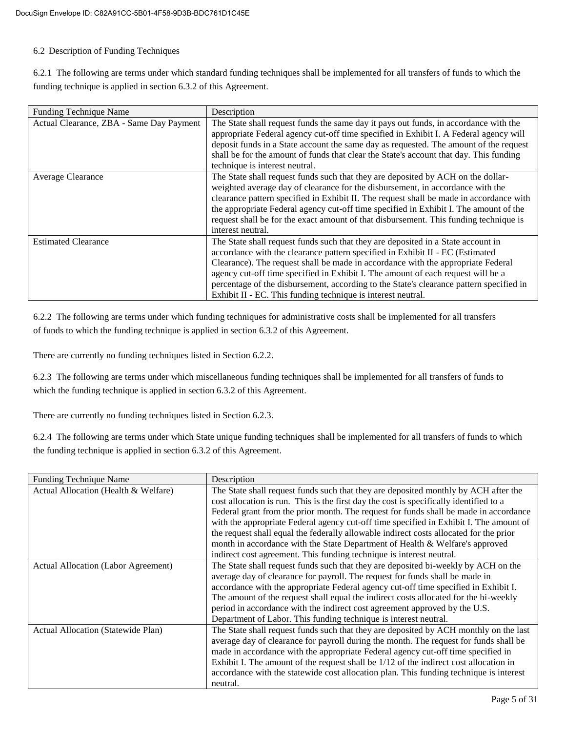#### 6.2 Description of Funding Techniques

6.2.1 The following are terms under which standard funding techniques shall be implemented for all transfers of funds to which the funding technique is applied in section 6.3.2 of this Agreement.

| <b>Funding Technique Name</b>            | Description                                                                             |
|------------------------------------------|-----------------------------------------------------------------------------------------|
| Actual Clearance, ZBA - Same Day Payment | The State shall request funds the same day it pays out funds, in accordance with the    |
|                                          | appropriate Federal agency cut-off time specified in Exhibit I. A Federal agency will   |
|                                          | deposit funds in a State account the same day as requested. The amount of the request   |
|                                          | shall be for the amount of funds that clear the State's account that day. This funding  |
|                                          | technique is interest neutral.                                                          |
| <b>Average Clearance</b>                 | The State shall request funds such that they are deposited by ACH on the dollar-        |
|                                          | weighted average day of clearance for the disbursement, in accordance with the          |
|                                          | clearance pattern specified in Exhibit II. The request shall be made in accordance with |
|                                          | the appropriate Federal agency cut-off time specified in Exhibit I. The amount of the   |
|                                          | request shall be for the exact amount of that disbursement. This funding technique is   |
|                                          | interest neutral.                                                                       |
| <b>Estimated Clearance</b>               | The State shall request funds such that they are deposited in a State account in        |
|                                          | accordance with the clearance pattern specified in Exhibit II - EC (Estimated           |
|                                          | Clearance). The request shall be made in accordance with the appropriate Federal        |
|                                          | agency cut-off time specified in Exhibit I. The amount of each request will be a        |
|                                          | percentage of the disbursement, according to the State's clearance pattern specified in |
|                                          | Exhibit II - EC. This funding technique is interest neutral.                            |

6.2.2 The following are terms under which funding techniques for administrative costs shall be implemented for all transfers of funds to which the funding technique is applied in section 6.3.2 of this Agreement.

There are currently no funding techniques listed in Section 6.2.2.

6.2.3 The following are terms under which miscellaneous funding techniques shall be implemented for all transfers of funds to which the funding technique is applied in section 6.3.2 of this Agreement.

There are currently no funding techniques listed in Section 6.2.3.

6.2.4 The following are terms under which State unique funding techniques shall be implemented for all transfers of funds to which the funding technique is applied in section 6.3.2 of this Agreement.

| <b>Funding Technique Name</b>        | Description                                                                            |
|--------------------------------------|----------------------------------------------------------------------------------------|
| Actual Allocation (Health & Welfare) | The State shall request funds such that they are deposited monthly by ACH after the    |
|                                      | cost allocation is run. This is the first day the cost is specifically identified to a |
|                                      | Federal grant from the prior month. The request for funds shall be made in accordance  |
|                                      | with the appropriate Federal agency cut-off time specified in Exhibit I. The amount of |
|                                      | the request shall equal the federally allowable indirect costs allocated for the prior |
|                                      | month in accordance with the State Department of Health & Welfare's approved           |
|                                      | indirect cost agreement. This funding technique is interest neutral.                   |
| Actual Allocation (Labor Agreement)  | The State shall request funds such that they are deposited bi-weekly by ACH on the     |
|                                      | average day of clearance for payroll. The request for funds shall be made in           |
|                                      | accordance with the appropriate Federal agency cut-off time specified in Exhibit I.    |
|                                      | The amount of the request shall equal the indirect costs allocated for the bi-weekly   |
|                                      | period in accordance with the indirect cost agreement approved by the U.S.             |
|                                      | Department of Labor. This funding technique is interest neutral.                       |
| Actual Allocation (Statewide Plan)   | The State shall request funds such that they are deposited by ACH monthly on the last  |
|                                      | average day of clearance for payroll during the month. The request for funds shall be  |
|                                      | made in accordance with the appropriate Federal agency cut-off time specified in       |
|                                      | Exhibit I. The amount of the request shall be 1/12 of the indirect cost allocation in  |
|                                      | accordance with the statewide cost allocation plan. This funding technique is interest |
|                                      | neutral.                                                                               |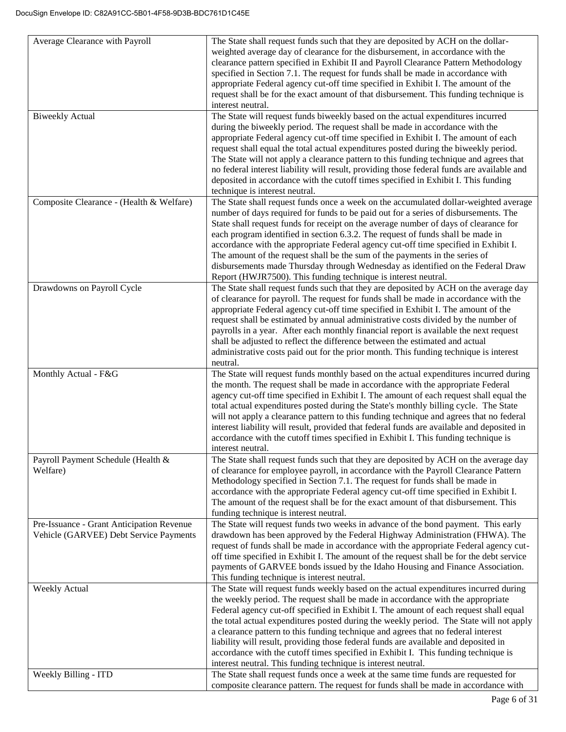| Average Clearance with Payroll                                                      | The State shall request funds such that they are deposited by ACH on the dollar-<br>weighted average day of clearance for the disbursement, in accordance with the<br>clearance pattern specified in Exhibit II and Payroll Clearance Pattern Methodology<br>specified in Section 7.1. The request for funds shall be made in accordance with<br>appropriate Federal agency cut-off time specified in Exhibit I. The amount of the<br>request shall be for the exact amount of that disbursement. This funding technique is<br>interest neutral.                                                                                                                                               |
|-------------------------------------------------------------------------------------|------------------------------------------------------------------------------------------------------------------------------------------------------------------------------------------------------------------------------------------------------------------------------------------------------------------------------------------------------------------------------------------------------------------------------------------------------------------------------------------------------------------------------------------------------------------------------------------------------------------------------------------------------------------------------------------------|
| <b>Biweekly Actual</b>                                                              | The State will request funds biweekly based on the actual expenditures incurred<br>during the biweekly period. The request shall be made in accordance with the<br>appropriate Federal agency cut-off time specified in Exhibit I. The amount of each<br>request shall equal the total actual expenditures posted during the biweekly period.<br>The State will not apply a clearance pattern to this funding technique and agrees that<br>no federal interest liability will result, providing those federal funds are available and<br>deposited in accordance with the cutoff times specified in Exhibit I. This funding<br>technique is interest neutral.                                  |
| Composite Clearance - (Health & Welfare)                                            | The State shall request funds once a week on the accumulated dollar-weighted average<br>number of days required for funds to be paid out for a series of disbursements. The<br>State shall request funds for receipt on the average number of days of clearance for<br>each program identified in section 6.3.2. The request of funds shall be made in<br>accordance with the appropriate Federal agency cut-off time specified in Exhibit I.<br>The amount of the request shall be the sum of the payments in the series of<br>disbursements made Thursday through Wednesday as identified on the Federal Draw<br>Report (HWJR7500). This funding technique is interest neutral.              |
| Drawdowns on Payroll Cycle                                                          | The State shall request funds such that they are deposited by ACH on the average day<br>of clearance for payroll. The request for funds shall be made in accordance with the<br>appropriate Federal agency cut-off time specified in Exhibit I. The amount of the<br>request shall be estimated by annual administrative costs divided by the number of<br>payrolls in a year. After each monthly financial report is available the next request<br>shall be adjusted to reflect the difference between the estimated and actual<br>administrative costs paid out for the prior month. This funding technique is interest<br>neutral.                                                          |
| Monthly Actual - F&G                                                                | The State will request funds monthly based on the actual expenditures incurred during<br>the month. The request shall be made in accordance with the appropriate Federal<br>agency cut-off time specified in Exhibit I. The amount of each request shall equal the<br>total actual expenditures posted during the State's monthly billing cycle. The State<br>will not apply a clearance pattern to this funding technique and agrees that no federal<br>interest liability will result, provided that federal funds are available and deposited in<br>accordance with the cutoff times specified in Exhibit I. This funding technique is<br>interest neutral.                                 |
| Payroll Payment Schedule (Health &<br>Welfare)                                      | The State shall request funds such that they are deposited by ACH on the average day<br>of clearance for employee payroll, in accordance with the Payroll Clearance Pattern<br>Methodology specified in Section 7.1. The request for funds shall be made in<br>accordance with the appropriate Federal agency cut-off time specified in Exhibit I.<br>The amount of the request shall be for the exact amount of that disbursement. This<br>funding technique is interest neutral.                                                                                                                                                                                                             |
| Pre-Issuance - Grant Anticipation Revenue<br>Vehicle (GARVEE) Debt Service Payments | The State will request funds two weeks in advance of the bond payment. This early<br>drawdown has been approved by the Federal Highway Administration (FHWA). The<br>request of funds shall be made in accordance with the appropriate Federal agency cut-<br>off time specified in Exhibit I. The amount of the request shall be for the debt service<br>payments of GARVEE bonds issued by the Idaho Housing and Finance Association.<br>This funding technique is interest neutral.                                                                                                                                                                                                         |
| <b>Weekly Actual</b>                                                                | The State will request funds weekly based on the actual expenditures incurred during<br>the weekly period. The request shall be made in accordance with the appropriate<br>Federal agency cut-off specified in Exhibit I. The amount of each request shall equal<br>the total actual expenditures posted during the weekly period. The State will not apply<br>a clearance pattern to this funding technique and agrees that no federal interest<br>liability will result, providing those federal funds are available and deposited in<br>accordance with the cutoff times specified in Exhibit I. This funding technique is<br>interest neutral. This funding technique is interest neutral. |
| Weekly Billing - ITD                                                                | The State shall request funds once a week at the same time funds are requested for<br>composite clearance pattern. The request for funds shall be made in accordance with                                                                                                                                                                                                                                                                                                                                                                                                                                                                                                                      |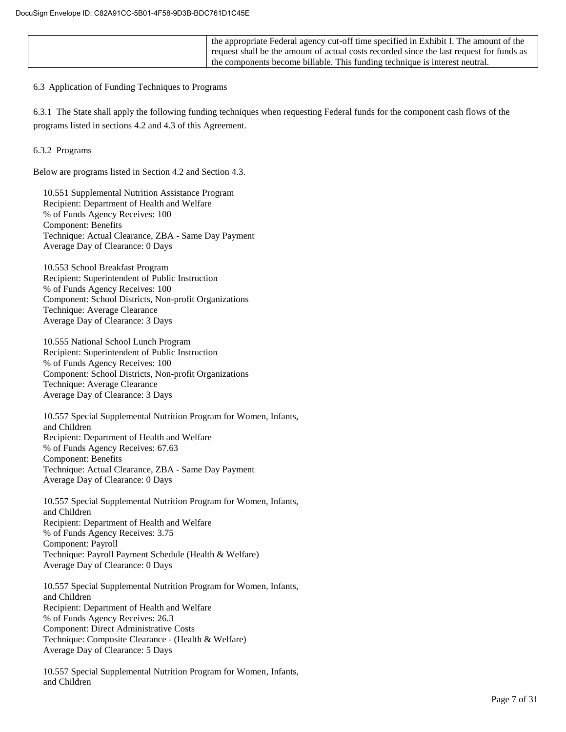| the appropriate Federal agency cut-off time specified in Exhibit I. The amount of the    |
|------------------------------------------------------------------------------------------|
| request shall be the amount of actual costs recorded since the last request for funds as |
| the components become billable. This funding technique is interest neutral.              |

6.3 Application of Funding Techniques to Programs

6.3.1 The State shall apply the following funding techniques when requesting Federal funds for the component cash flows of the programs listed in sections 4.2 and 4.3 of this Agreement.

6.3.2 Programs

Below are programs listed in Section 4.2 and Section 4.3.

10.551 Supplemental Nutrition Assistance Program Recipient: Department of Health and Welfare % of Funds Agency Receives: 100 Component: Benefits Technique: Actual Clearance, ZBA - Same Day Payment Average Day of Clearance: 0 Days

10.553 School Breakfast Program Recipient: Superintendent of Public Instruction % of Funds Agency Receives: 100 Component: School Districts, Non-profit Organizations Technique: Average Clearance Average Day of Clearance: 3 Days

10.555 National School Lunch Program Recipient: Superintendent of Public Instruction % of Funds Agency Receives: 100 Component: School Districts, Non-profit Organizations Technique: Average Clearance Average Day of Clearance: 3 Days

10.557 Special Supplemental Nutrition Program for Women, Infants, and Children Recipient: Department of Health and Welfare % of Funds Agency Receives: 67.63 Component: Benefits Technique: Actual Clearance, ZBA - Same Day Payment Average Day of Clearance: 0 Days

10.557 Special Supplemental Nutrition Program for Women, Infants, and Children Recipient: Department of Health and Welfare % of Funds Agency Receives: 3.75 Component: Payroll Technique: Payroll Payment Schedule (Health & Welfare) Average Day of Clearance: 0 Days

10.557 Special Supplemental Nutrition Program for Women, Infants, and Children Recipient: Department of Health and Welfare % of Funds Agency Receives: 26.3 Component: Direct Administrative Costs Technique: Composite Clearance - (Health & Welfare) Average Day of Clearance: 5 Days

10.557 Special Supplemental Nutrition Program for Women, Infants, and Children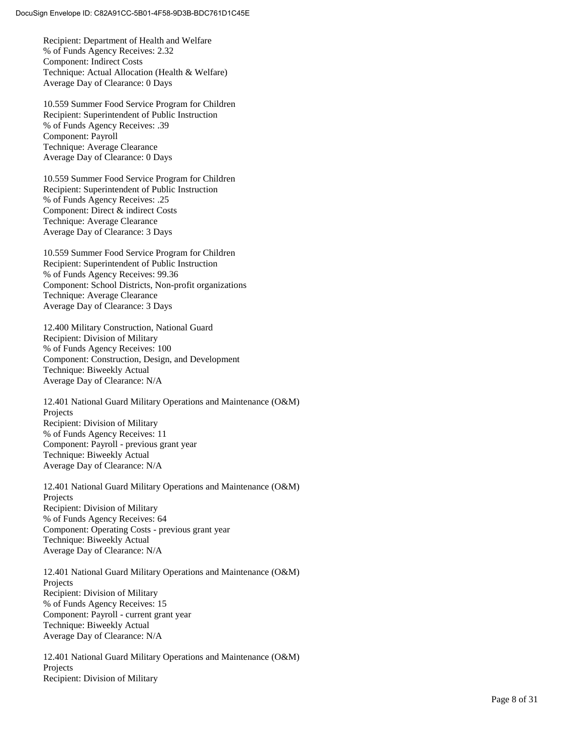Recipient: Department of Health and Welfare % of Funds Agency Receives: 2.32 Component: Indirect Costs Technique: Actual Allocation (Health & Welfare) Average Day of Clearance: 0 Days

10.559 Summer Food Service Program for Children Recipient: Superintendent of Public Instruction % of Funds Agency Receives: .39 Component: Payroll Technique: Average Clearance Average Day of Clearance: 0 Days

10.559 Summer Food Service Program for Children Recipient: Superintendent of Public Instruction % of Funds Agency Receives: .25 Component: Direct & indirect Costs Technique: Average Clearance Average Day of Clearance: 3 Days

10.559 Summer Food Service Program for Children Recipient: Superintendent of Public Instruction % of Funds Agency Receives: 99.36 Component: School Districts, Non -profit organizations Technique: Average Clearance Average Day of Clearance: 3 Days

12.400 Military Construction, National Guard Recipient: Division of Military % of Funds Agency Receives: 100 Component: Construction, Design, and Development Technique: Biweekly Actual Average Day of Clearance: N/A

12.401 National Guard Military Operations and Maintenance (O&M) Projects Recipient: Division of Military % of Funds Agency Receives: 11 Component: Payroll - previous grant year Technique: Biweekly Actual Average Day of Clearance: N/A

12.401 National Guard Military Operations and Maintenance (O&M) Projects Recipient: Division of Military % of Funds Agency Receives: 64 Component: Operating Costs - previous grant year Technique: Biweekly Actual Average Day of Clearance: N/A

12.401 National Guard Military Operations and Maintenance (O&M) Projects Recipient: Division of Military % of Funds Agency Receives: 15 Component: Payroll - current grant year Technique: Biweekly Actual Average Day of Clearance: N/A

12.401 National Guard Military Operations and Maintenance (O&M) Projects Recipient: Division of Military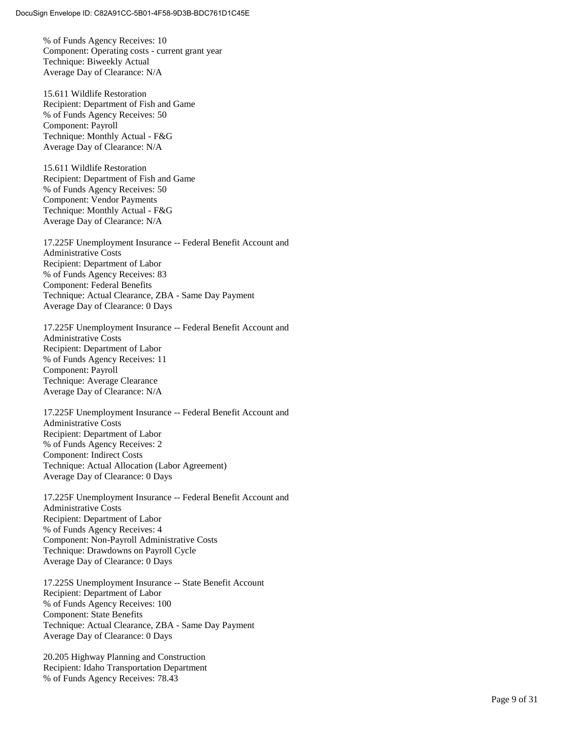% of Funds Agency Receives: 10 Component: Operating costs - current grant year Technique: Biweekly Actua l Average Day of Clearance: N/A

15.611 Wildlife Restoration Recipient: Department of Fish and Game % of Funds Agency Receives: 50 Component: Payroll Technique: Monthly Actual - F&G Average Day of Clearance: N/A

15.611 Wildlife Restoration Recipient: Department of Fish and Game % of Funds Agency Receives: 50 Component: Vendor Payments Technique: Monthly Actual - F&G Average Day of Clearance: N/A

17.225F Unemployment Insurance -- Federal Benefit Account and Administrative Costs Recipient: Department of Labor % of Funds Agency Receives: 83 Component: Federal Benefits Technique: Actual Clearance, ZBA - Same Day Payment Average Day of Clearance: 0 Days

17.225F Unemployment Insurance -- Federal Benefit Account and Administrative Costs Recipient: Department of Labor % of Funds Agency Receives: 11 Component: Payroll Technique: Average Clearance Average Day of Clearance: N/A

17.225F Unemployment Insurance -- Federal Benefit Account and Administrative Costs Recipient: Department of Labor % of Funds Agency Receives: 2 Component: Indirect Costs Technique: Actual Allocation (Labor Agreement) Average Day of Clearance: 0 Days

17.225F Unemployment Insurance -- Federal Benefit Account and Administrative Costs Recipient: Department of Labor % of Funds Agency Receives: 4 Component: Non -Payroll Administrative Costs Technique: Drawdowns on Payroll Cycle Average Day of Clearance: 0 Days

17.225S Unemployment Insurance -- State Benefit Account Recipient: Department of Labor % of Funds Agency Receives: 100 Component: State Benefits Technique: Actual Clearance, ZBA - Same Day Payment Average Day of Clearance: 0 Days

20.205 Highway Planning and Construction Recipient: Idaho Transportation Department % of Funds Agency Receives: 78.43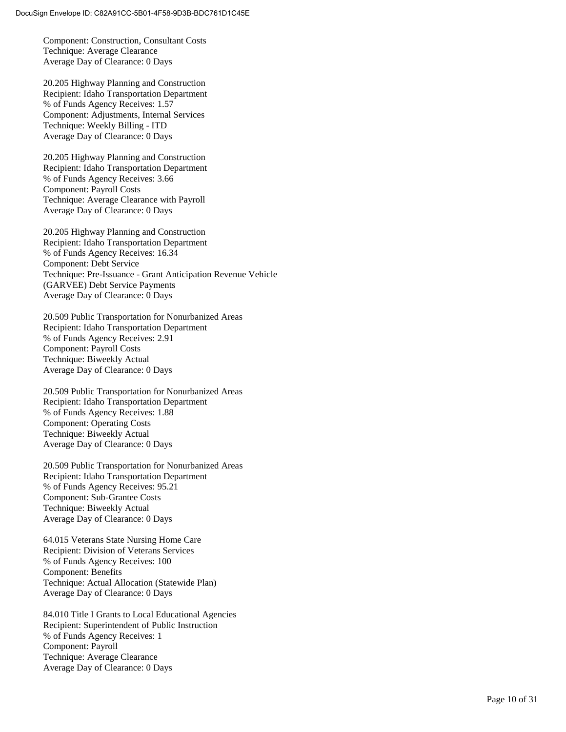Component: Construction, Consultant Costs Technique: Average Clearance Average Day of Clearance: 0 Days

20.205 Highway Planning and Construction Recipient: Idaho Transportation Department % of Funds Agency Receives: 1.57 Component: Adjustments, Internal Services Technique: Weekly Billing - ITD Average Day of Clearance: 0 Days

20.205 Highway Planning and Construction Recipient: Idaho Transportation Department % of Funds Agency Receives: 3.66 Component: Payroll Costs Technique: Average Clearance with Payroll Average Day of Clearance: 0 Days

20.205 Highway Planning and Construction Recipient: Idaho Transportation Department % of Funds Agency Receives: 16.34 Component: Debt Service Technique: Pre -Issuance - Grant Anticipation Revenue Vehicle (GARVEE) Debt Service Payments Average Day of Clearance: 0 Days

20.509 Public Transportation for Nonurbanized Areas Recipient: Idaho Transportation Department % of Funds Agency Receives: 2.91 Component: Payroll Costs Technique: Biweekly Actual Average Day of Clearance: 0 Days

20.509 Public Transportation for Nonurbanized Areas Recipient: Idaho Transportation Department % of Funds Agency Receives: 1.88 Component: Operating Costs Technique: Biweekly Actual Average Day of Clearance: 0 Days

20.509 Public Transportation for Nonurbanized Areas Recipient: Idaho Transportation Department % of Funds Agency Receives: 95.21 Component: Sub -Grantee Costs Technique: Biweekly Actual Average Day of Clearance: 0 Days

64.015 Veterans State Nursing Home Care Recipient: Division of Veterans Services % of Funds Agency Receives: 100 Component: Benefits Technique: Actual Allocation (Statewide Plan) Average Day of Clearance: 0 Days

84.010 Title I Grants to Local Educational Agencies Recipient: Superintendent of Public Instruction % of Funds Agency Receives: 1 Component: Payroll Technique: Average Clearance Average Day of Clearance: 0 Days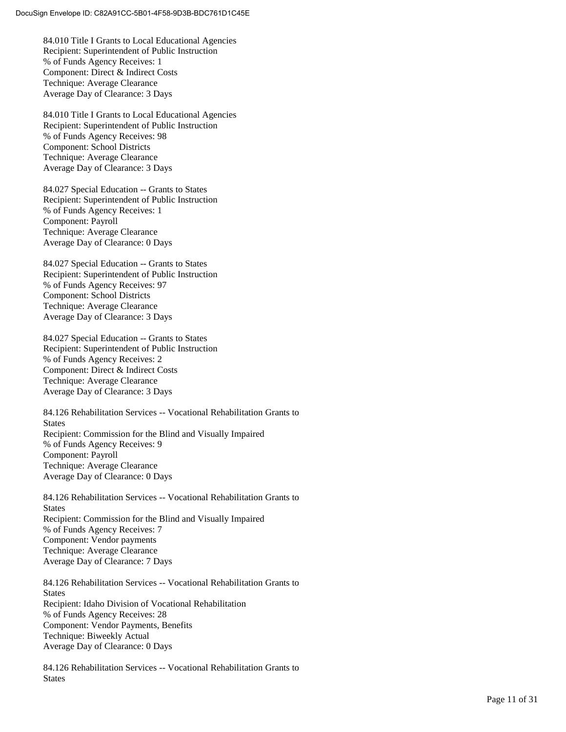84.010 Title I Grants to Local Educational Agencies Recipient: Superintendent of Public Instruction % of Funds Agency Receives: 1 Component: Direct & Indirect Costs Technique: Average Clearance Average Day of Clearance: 3 Days

84.010 Title I Grants to Local Educational Agencies Recipient: Superintendent of Public Instruction % of Funds Agency Receives: 98 Component: School Districts Technique: Average Clearance Average Day of Clearance: 3 Days

84.027 Special Education -- Grants to States Recipient: Superintendent of Public Instruction % of Funds Agency Receives: 1 Component: Payroll Technique: Average Clearance Average Day of Clearance: 0 Days

84.027 Special Education -- Grants to States Recipient: Superintendent of Public Instruction % of Funds Agency Receives: 97 Component: School Districts Technique: Average Clearance Average Day of Clearance: 3 Days

84.027 Special Education -- Grants to States Recipient: Superintendent of Public Instruction % of Funds Agency Receives: 2 Component: Direct & Indirect Costs Technique: Average Clearance Average Day of Clearance: 3 Days

84.126 Rehabilitation Services -- Vocational Rehabilitation Grants to **States** Recipient: Commission for the Blind and Visually Impaired % of Funds Agency Receives: 9 Component: Payroll Technique: Average Clearance Average Day of Clearance: 0 Days

84.126 Rehabilitation Services -- Vocational Rehabilitation Grants to **States** Recipient: Commission for the Blind and Visually Impaired % of Funds Agency Receives: 7 Component: Vendor payments Technique: Average Clearance Average Day of Clearance: 7 Days

84.126 Rehabilitation Services -- Vocational Rehabilitation Grants to **States** Recipient: Idaho Division of Vocational Rehabilitation % of Funds Agency Receives: 28 Component: Vendor Payments, Benefits Technique: Biweekly Actual Average Day of Clearance: 0 Days

84.126 Rehabilitation Services -- Vocational Rehabilitation Grants to **States**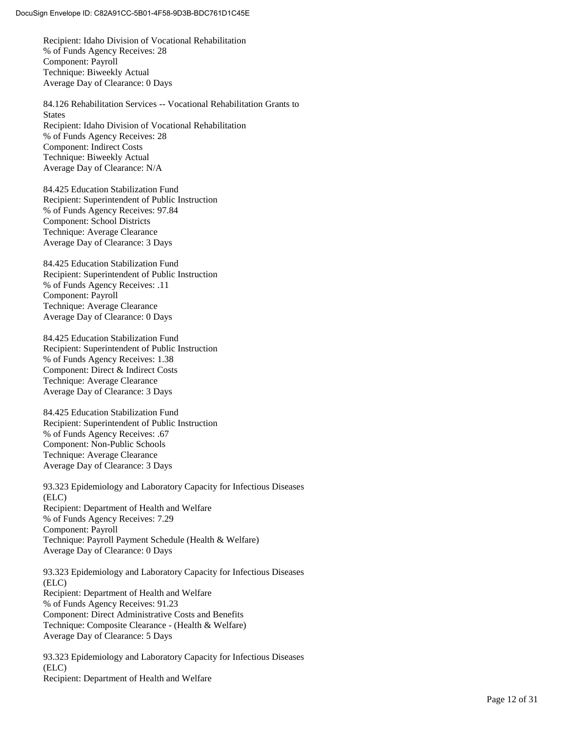Recipient: Idaho Division of Vocational Rehabilitation % of Funds Agency Receives: 28 Component: Payroll Technique: Biweekly Actual Average Day of Clearance: 0 Days

84.126 Rehabilitation Services -- Vocational Rehabilitation Grants to States Recipient: Idaho Division of Vocational Rehabilitation % of Funds Agency Receives: 28 Component: Indirect Costs Technique: Biweekly Actual Average Day of Clearance: N/A

84.425 Education Stabilization Fund Recipient: Superintendent of Public Instruction % of Funds Agency Receives: 97.84 Component: School Districts Technique: Average Clearance Average Day of Clearance: 3 Days

84.425 Education Stabilization Fund Recipient: Superintendent of Public Instruction % of Funds Agency Receives: .11 Component: Payroll Technique: Average Clearance Average Day of Clearance: 0 Days

84.425 Education Stabilization Fund Recipient: Superintendent of Public Instruction % of Funds Agency Receives: 1.38 Component: Direct & Indirect Costs Technique: Average Clearance Average Day of Clearance: 3 Days

84.425 Education Stabilization Fund Recipient: Superintendent of Public Instruction % of Funds Agency Receives: .67 Component: Non -Public Schools Technique: Average Clearance Average Day of Clearance: 3 Days

93.323 Epidemiology and Laboratory Capacity for Infectious Diseases (ELC) Recipient: Department of Health and Welfare % of Funds Agency Receives: 7.29 Component: Payroll Technique: Payroll Payment Schedule (Health & Welfare) Average Day of Clearance: 0 Days

93.323 Epidemiology and Laboratory Capacity for Infectious Diseases (ELC) Recipient: Department of Health and Welfare % of Funds Agency Receives: 91.23 Component: Direct Administrative Costs and Benefits Technique: Composite Clearance - (Health & Welfare) Average Day of Clearance: 5 Days

93.323 Epidemiology and Laboratory Capacity for Infectious Diseases (ELC) Recipient: Department of Health and Welfare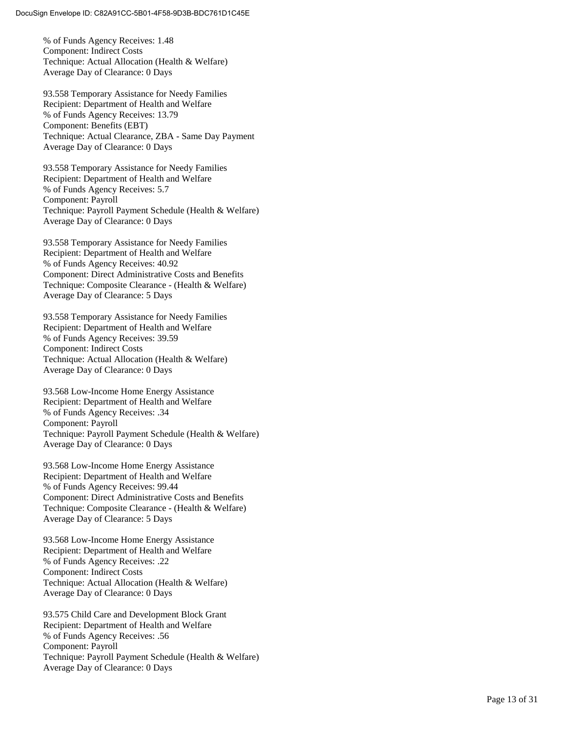% of Funds Agency Receives: 1.48 Component: Indirect Costs Technique: Actual Allocation (Health & Welfare) Average Day of Clearance: 0 Days

93.558 Temporary Assistance for Needy Families Recipient: Department of Health and Welfare % of Funds Agency Receives: 13.79 Component: Benefits (EBT) Technique: Actual Clearance, ZBA - Same Day Payment Average Day of Clearance: 0 Days

93.558 Temporary Assistance for Needy Families Recipient: Department of Health and Welfare % of Funds Agency Receives: 5.7 Component: Payroll Technique: Payroll Payment Schedule (Health & Welfare) Average Day of Clearance: 0 Days

93.558 Temporary Assistance for Needy Families Recipient: Department of Health and Welfare % of Funds Agency Receives: 40.92 Component: Direct Administrative Costs and Benefits Technique: Composite Clearance - (Health & Welfare) Average Day of Clearance: 5 Days

93.558 Temporary Assistance for Needy Families Recipient: Department of Health and Welfare % of Funds Agency Receives: 39.59 Component: Indirect Costs Technique: Actual Allocation (Health & Welfare) Average Day of Clearance: 0 Days

93.568 Low -Income Home Energy Assistance Recipient: Department of Health and Welfare % of Funds Agency Receives: .34 Component: Payroll Technique: Payroll Payment Schedule (Health & Welfare) Average Day of Clearance: 0 Days

93.568 Low -Income Home Energy Assistance Recipient: Department of Health and Welfare % of Funds Agency Receives: 99.44 Component: Direct Administrative Costs and Benefits Technique: Composite Clearance - (Health & Welfare) Average Day of Clearance: 5 Days

93.568 Low -Income Home Energy Assistance Recipient: Department of Health and Welfare % of Funds Agency Receives: .22 Component: Indirect Costs Technique: Actual Allocation (Health & Welfare) Average Day of Clearance: 0 Days

93.575 Child Care and Development Block Grant Recipient: Department of Health and Welfare % of Funds Agency Receives: .56 Component: Payroll Technique: Payroll Payment Schedule (Health & Welfare) Average Day of Clearance: 0 Days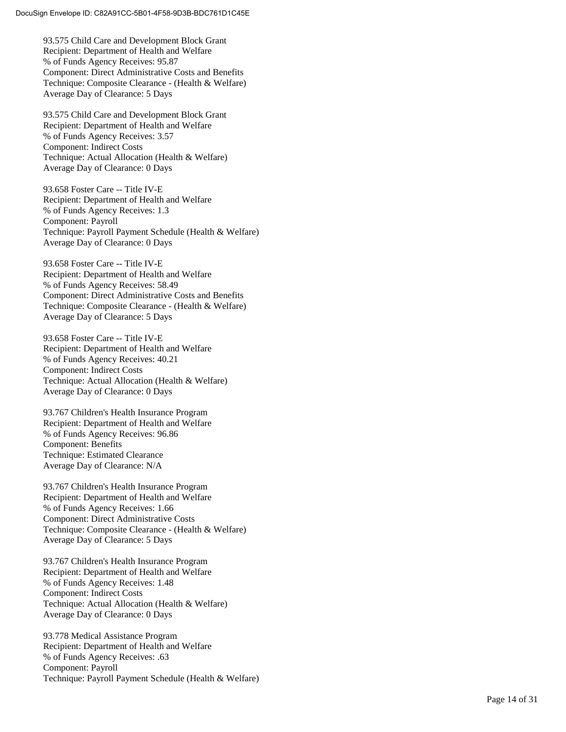93.575 Child Care and Development Block Grant Recipient: Department of Health and Welfare % of Funds Agency Receives: 95.87 Component: Direct Administrative Costs and Benefits Technique: Composite Clearance - (Health & Welfare) Average Day of Clearance: 5 Days

93.575 Child Care and Development Block Grant Recipient: Department of Health and Welfare % of Funds Agency Receives: 3.57 Component: Indirect Costs Technique: Actual Allocation (Health & Welfare) Average Day of Clearance: 0 Days

93.658 Foster Care -- Title IV-E Recipient: Department of Health and Welfare % of Funds Agency Receives: 1.3 Component: Payroll Technique: Payroll Payment Schedule (Health & Welfare) Average Day of Clearance: 0 Days

93.658 Foster Care -- Title IV-E Recipient: Department of Health and Welfare % of Funds Agency Receives: 58.49 Component: Direct Administrative Costs and Benefits Technique: Composite Clearance - (Health & Welfare) Average Day of Clearance: 5 Days

93.658 Foster Care -- Title IV-E Recipient: Department of Health and Welfare % of Funds Agency Receives: 40.21 Component: Indirect Costs Technique: Actual Allocation (Health & Welfare) Average Day of Clearance: 0 Days

93.767 Children's Health Insurance Program Recipient: Department of Health and Welfare % of Funds Agency Receives: 96.86 Component: Benefits Technique: Estimated Clearance Average Day of Clearance: N/A

93.767 Children's Health Insurance Program Recipient: Department of Health and Welfare % of Funds Agency Receives: 1.66 Component: Direct Administrative Costs Technique: Composite Clearance - (Health & Welfare) Average Day of Clearance: 5 Days

93.767 Children's Health Insurance Program Recipient: Department of Health and Welfare % of Funds Agency Receives: 1.48 Component: Indirect Costs Technique: Actual Allocation (Health & Welfare) Average Day of Clearance: 0 Days

93.778 Medical Assistance Program Recipient: Department of Health and Welfare % of Funds Agency Receives: .63 Component: Payroll Technique: Payroll Payment Schedule (Health & Welfare)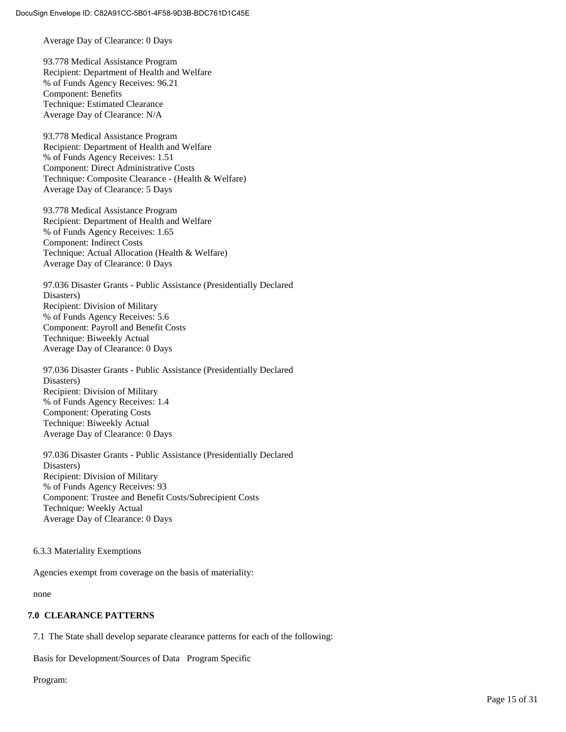Average Day of Clearance: 0 Days

93.778 Medical Assistance Program Recipient: Department of Health and Welfare % of Funds Agency Receives: 96.21 Component: Benefits Technique: Estimated Clearance Average Day of Clearance: N/A

93.778 Medical Assistance Program Recipient: Department of Health and Welfare % of Funds Agency Receives: 1.51 Component: Direct Administrative Costs Technique: Composite Clearance - (Health & Welfare) Average Day of Clearance: 5 Days

93.778 Medical Assistance Program Recipient: Department of Health and Welfare % of Funds Agency Receives: 1.65 Component: Indirect Costs Technique: Actual Allocation (Health & Welfare) Average Day of Clearance: 0 Days

97.036 Disaster Grants - Public Assistance (Presidentially Declared Disasters) Recipient: Division of Military % of Funds Agency Receives: 5.6 Component: Payroll and Benefit Costs Technique: Biweekly Actual Average Day of Clearance: 0 Days

97.036 Disaster Grants - Public Assistance (Presidentially Declared Disasters) Recipient: Division of Military % of Funds Agency Receives: 1.4 Component: Operating Costs Technique: Biweekly Actual Average Day of Clearance: 0 Days

97.036 Disaster Grants - Public Assistance (Presidentially Declared Disasters) Recipient: Division of Military % of Funds Agency Receives: 93 Component: Trustee and Benefit Costs/Subrecipient Costs Technique: Weekly Actual Average Day of Clearance: 0 Days

6.3.3 Materiality Exemptions

Agencies exempt from coverage on the basis of materiality:

none

#### **7.0 CLEARANCE PATTERNS**

7.1 The State shall develop separate clearance patterns for each of the following:

Basis for Development/Sources of Data Program Specific

Program: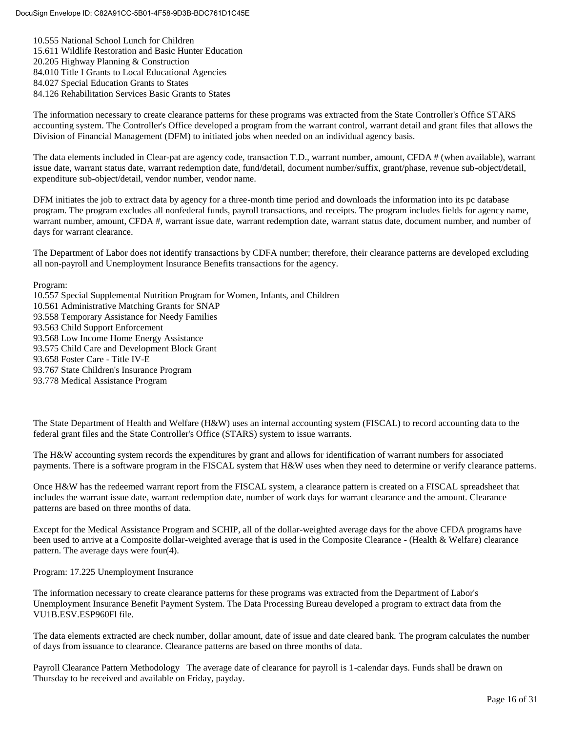10.555 National School Lunch for Children 15.611 Wildlife Restoration and Basic Hunter Education 20.205 Highway Planning & Construction 84.010 Title I Grants to Local Educational Agencies 84.027 Special Education Grants to States 84.126 Rehabilitation Services Basic Grants to States

The information necessary to create clearance patterns for these programs was extracted from the State Controller's Office STARS accounting system. The Controller's Office developed a program from the warrant control, warrant detail and grant files that allows the Division of Financial Management (DFM) to initiated jobs when needed on an individual agency basis.

The data elements included in Clear-pat are agency code, transaction T.D., warrant number, amount, CFDA # (when available), warrant issue date, warrant status date, warrant redemption date, fund/detail, document number/suffix, grant/phase, revenue sub-object/detail, expenditure sub-object/detail, vendor number, vendor name.

DFM initiates the job to extract data by agency for a three-month time period and downloads the information into its pc database program. The program excludes all nonfederal funds, payroll transactions, and receipts. The program includes fields for agency name, warrant number, amount, CFDA #, warrant issue date, warrant redemption date, warrant status date, document number, and number of days for warrant clearance.

The Department of Labor does not identify transactions by CDFA number; therefore, their clearance patterns are developed excluding all non-payroll and Unemployment Insurance Benefits transactions for the agency.

Program:

- 10.557 Special Supplemental Nutrition Program for Women, Infants, and Children
- 10.561 Administrative Matching Grants for SNAP
- 93.558 Temporary Assistance for Needy Families
- 93.563 Child Support Enforcement
- 93.568 Low Income Home Energy Assistance
- 93.575 Child Care and Development Block Grant
- 93.658 Foster Care Title IV-E
- 93.767 State Children's Insurance Program
- 93.778 Medical Assistance Program

The State Department of Health and Welfare (H&W) uses an internal accounting system (FISCAL) to record accounting data to the federal grant files and the State Controller's Office (STARS) system to issue warrants.

The H&W accounting system records the expenditures by grant and allows for identification of warrant numbers for associated payments. There is a software program in the FISCAL system that H&W uses when they need to determine or verify clearance patterns.

Once H&W has the redeemed warrant report from the FISCAL system, a clearance pattern is created on a FISCAL spreadsheet that includes the warrant issue date, warrant redemption date, number of work days for warrant clearance and the amount. Clearance patterns are based on three months of data.

Except for the Medical Assistance Program and SCHIP, all of the dollar-weighted average days for the above CFDA programs have been used to arrive at a Composite dollar-weighted average that is used in the Composite Clearance - (Health & Welfare) clearance pattern. The average days were four(4).

Program: 17.225 Unemployment Insurance

The information necessary to create clearance patterns for these programs was extracted from the Department of Labor's Unemployment Insurance Benefit Payment System. The Data Processing Bureau developed a program to extract data from the VU1B.ESV.ESP960Fl file.

The data elements extracted are check number, dollar amount, date of issue and date cleared bank. The program calculates the number of days from issuance to clearance. Clearance patterns are based on three months of data.

Payroll Clearance Pattern Methodology The average date of clearance for payroll is 1-calendar days. Funds shall be drawn on Thursday to be received and available on Friday, payday.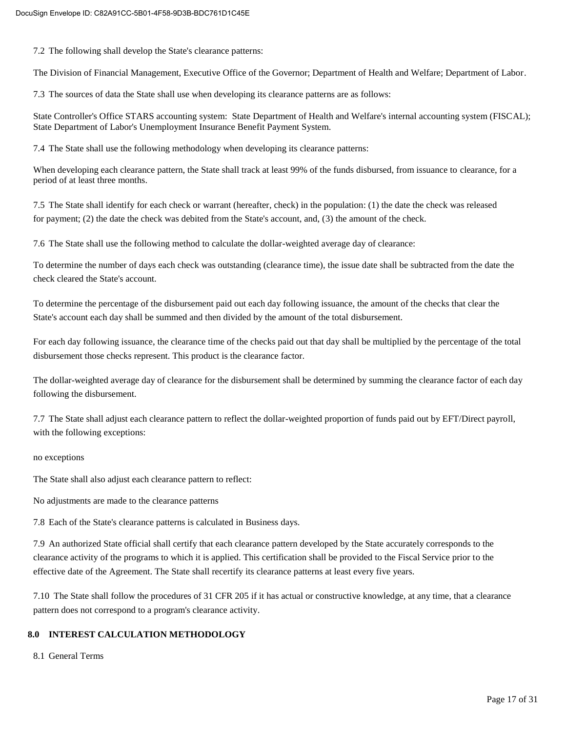7.2 The following shall develop the State's clearance patterns:

The Division of Financial Management, Executive Office of the Governor; Department of Health and Welfare; Department of Labor.

7.3 The sources of data the State shall use when developing its clearance patterns are as follows:

State Controller's Office STARS accounting system: State Department of Health and Welfare's internal accounting system (FISCAL); State Department of Labor's Unemployment Insurance Benefit Payment System.

7.4 The State shall use the following methodology when developing its clearance patterns:

When developing each clearance pattern, the State shall track at least 99% of the funds disbursed, from issuance to clearance, for a period of at least three months.

7.5 The State shall identify for each check or warrant (hereafter, check) in the population: (1) the date the check was released for payment; (2) the date the check was debited from the State's account, and, (3) the amount of the check.

7.6 The State shall use the following method to calculate the dollar-weighted average day of clearance:

To determine the number of days each check was outstanding (clearance time), the issue date shall be subtracted from the date the check cleared the State's account.

To determine the percentage of the disbursement paid out each day following issuance, the amount of the checks that clear the State's account each day shall be summed and then divided by the amount of the total disbursement.

For each day following issuance, the clearance time of the checks paid out that day shall be multiplied by the percentage of the total disbursement those checks represent. This product is the clearance factor.

The dollar-weighted average day of clearance for the disbursement shall be determined by summing the clearance factor of each day following the disbursement.

7.7 The State shall adjust each clearance pattern to reflect the dollar-weighted proportion of funds paid out by EFT/Direct payroll, with the following exceptions:

#### no exceptions

The State shall also adjust each clearance pattern to reflect:

No adjustments are made to the clearance patterns

7.8 Each of the State's clearance patterns is calculated in Business days.

7.9 An authorized State official shall certify that each clearance pattern developed by the State accurately corresponds to the clearance activity of the programs to which it is applied. This certification shall be provided to the Fiscal Service prior to the effective date of the Agreement. The State shall recertify its clearance patterns at least every five years.

7.10 The State shall follow the procedures of 31 CFR 205 if it has actual or constructive knowledge, at any time, that a clearance pattern does not correspond to a program's clearance activity.

#### **8.0 INTEREST CALCULATION METHODOLOGY**

8.1 General Terms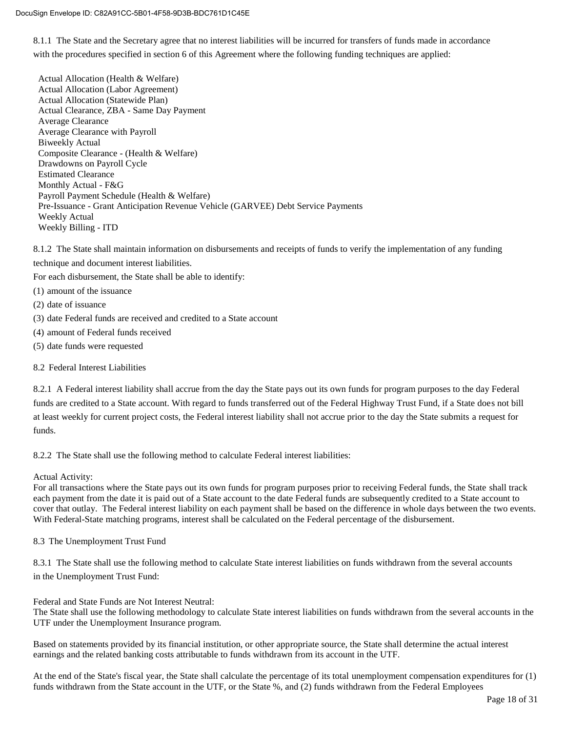8.1.1 The State and the Secretary agree that no interest liabilities will be incurred for transfers of funds made in accordance with the procedures specified in section 6 of this Agreement where the following funding techniques are applied:

Actual Allocation (Health & Welfare) Actual Allocation (Labor Agreement) Actual Allocation (Statewide Plan) Actual Clearance, ZBA - Same Day Payment Average Clearance Average Clearance with Payroll Biweekly Actual Composite Clearance - (Health & Welfare) Drawdowns on Payroll Cycle Estimated Clearance Monthly Actual - F&G Payroll Payment Schedule (Health & Welfare) Pre-Issuance - Grant Anticipation Revenue Vehicle (GARVEE) Debt Service Payments Weekly Actual Weekly Billing - ITD

8.1.2 The State shall maintain information on disbursements and receipts of funds to verify the implementation of any funding technique and document interest liabilities.

For each disbursement, the State shall be able to identify:

- (1) amount of the issuance
- (2) date of issuance
- (3) date Federal funds are received and credited to a State account
- (4) amount of Federal funds received
- (5) date funds were requested

#### 8.2 Federal Interest Liabilities

8.2.1 A Federal interest liability shall accrue from the day the State pays out its own funds for program purposes to the day Federal funds are credited to a State account. With regard to funds transferred out of the Federal Highway Trust Fund, if a State does not bill at least weekly for current project costs, the Federal interest liability shall not accrue prior to the day the State submits a request for funds.

8.2.2 The State shall use the following method to calculate Federal interest liabilities:

Actual Activity:

For all transactions where the State pays out its own funds for program purposes prior to receiving Federal funds, the State shall track each payment from the date it is paid out of a State account to the date Federal funds are subsequently credited to a State account to cover that outlay. The Federal interest liability on each payment shall be based on the difference in whole days between the two events. With Federal-State matching programs, interest shall be calculated on the Federal percentage of the disbursement.

8.3 The Unemployment Trust Fund

8.3.1 The State shall use the following method to calculate State interest liabilities on funds withdrawn from the several accounts in the Unemployment Trust Fund:

Federal and State Funds are Not Interest Neutral:

The State shall use the following methodology to calculate State interest liabilities on funds withdrawn from the several accounts in the UTF under the Unemployment Insurance program.

Based on statements provided by its financial institution, or other appropriate source, the State shall determine the actual interest earnings and the related banking costs attributable to funds withdrawn from its account in the UTF.

At the end of the State's fiscal year, the State shall calculate the percentage of its total unemployment compensation expenditures for (1) funds withdrawn from the State account in the UTF, or the State %, and (2) funds withdrawn from the Federal Employees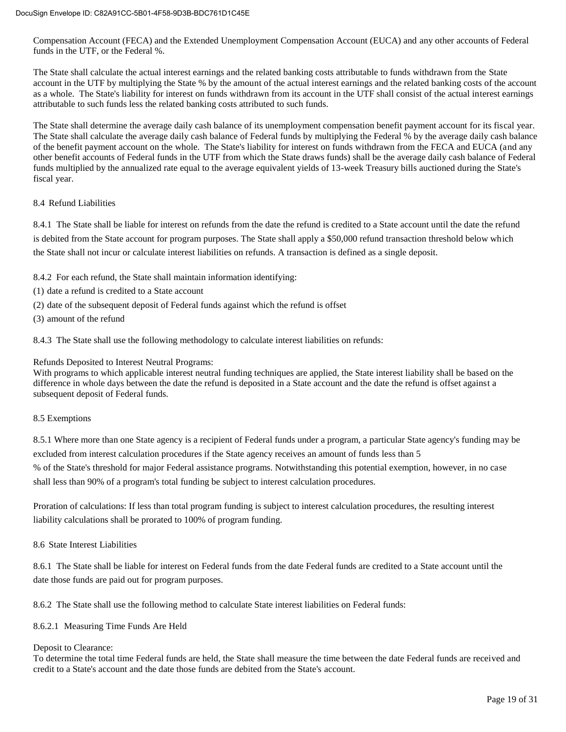Compensation Account (FECA) and the Extended Unemployment Compensation Account (EUCA) and any other accounts of Federal funds in the UTF, or the Federal %.

The State shall calculate the actual interest earnings and the related banking costs attributable to funds withdrawn from the State account in the UTF by multiplying the State % by the amount of the actual interest earnings and the related banking costs of the account as a whole. The State's liability for interest on funds withdrawn from its account in the UTF shall consist of the actual interest earnings attributable to such funds less the related banking costs attributed to such funds.

The State shall determine the average daily cash balance of its unemployment compensation benefit payment account for its fiscal year. The State shall calculate the average daily cash balance of Federal funds by multiplying the Federal % by the average daily cash balance of the benefit payment account on the whole. The State's liability for interest on funds withdrawn from the FECA and EUCA (and any other benefit accounts of Federal funds in the UTF from which the State draws funds) shall be the average daily cash balance of Federal funds multiplied by the annualized rate equal to the average equivalent yields of 13-week Treasury bills auctioned during the State's fiscal year.

#### 8.4 Refund Liabilities

8.4.1 The State shall be liable for interest on refunds from the date the refund is credited to a State account until the date the refund is debited from the State account for program purposes. The State shall apply a \$50,000 refund transaction threshold below which the State shall not incur or calculate interest liabilities on refunds. A transaction is defined as a single deposit.

- 8.4.2 For each refund, the State shall maintain information identifying:
- (1) date a refund is credited to a State account
- (2) date of the subsequent deposit of Federal funds against which the refund is offset
- (3) amount of the refund

8.4.3 The State shall use the following methodology to calculate interest liabilities on refunds:

Refunds Deposited to Interest Neutral Programs:

With programs to which applicable interest neutral funding techniques are applied, the State interest liability shall be based on the difference in whole days between the date the refund is deposited in a State account and the date the refund is offset against a subsequent deposit of Federal funds.

#### 8.5 Exemptions

8.5.1 Where more than one State agency is a recipient of Federal funds under a program, a particular State agency's funding may be excluded from interest calculation procedures if the State agency receives an amount of funds less than 5

% of the State's threshold for major Federal assistance programs. Notwithstanding this potential exemption, however, in no case shall less than 90% of a program's total funding be subject to interest calculation procedures.

Proration of calculations: If less than total program funding is subject to interest calculation procedures, the resulting interest liability calculations shall be prorated to 100% of program funding.

#### 8.6 State Interest Liabilities

8.6.1 The State shall be liable for interest on Federal funds from the date Federal funds are credited to a State account until the date those funds are paid out for program purposes.

8.6.2 The State shall use the following method to calculate State interest liabilities on Federal funds:

#### 8.6.2.1 Measuring Time Funds Are Held

#### Deposit to Clearance:

To determine the total time Federal funds are held, the State shall measure the time between the date Federal funds are received and credit to a State's account and the date those funds are debited from the State's account.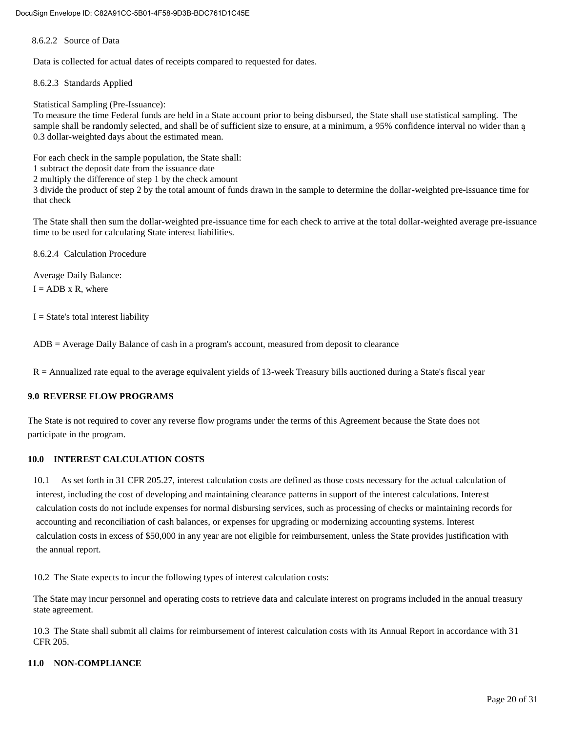8.6.2.2 Source of Data

Data is collected for actual dates of receipts compared to requested for dates.

8.6.2.3 Standards Applied

Statistical Sampling (Pre-Issuance):

To measure the time Federal funds are held in a State account prior to being disbursed, the State shall use statistical sampling. The sample shall be randomly selected, and shall be of sufficient size to ensure, at a minimum, a 95% confidence interval no wider than ą 0.3 dollar-weighted days about the estimated mean.

For each check in the sample population, the State shall:

1 subtract the deposit date from the issuance date

2 multiply the difference of step 1 by the check amount

3 divide the product of step 2 by the total amount of funds drawn in the sample to determine the dollar-weighted pre-issuance time for that check

The State shall then sum the dollar-weighted pre-issuance time for each check to arrive at the total dollar-weighted average pre-issuance time to be used for calculating State interest liabilities.

8.6.2.4 Calculation Procedure

Average Daily Balance:

 $I = ADB \times R$ , where

 $I = State's total interest liability$ 

ADB = Average Daily Balance of cash in a program's account, measured from deposit to clearance

R = Annualized rate equal to the average equivalent yields of 13-week Treasury bills auctioned during a State's fiscal year

#### **9.0 REVERSE FLOW PROGRAMS**

The State is not required to cover any reverse flow programs under the terms of this Agreement because the State does not participate in the program.

#### **10.0 INTEREST CALCULATION COSTS**

10.1 As set forth in 31 CFR 205.27, interest calculation costs are defined as those costs necessary for the actual calculation of interest, including the cost of developing and maintaining clearance patterns in support of the interest calculations. Interest calculation costs do not include expenses for normal disbursing services, such as processing of checks or maintaining records for accounting and reconciliation of cash balances, or expenses for upgrading or modernizing accounting systems. Interest calculation costs in excess of \$50,000 in any year are not eligible for reimbursement, unless the State provides justification with the annual report.

10.2 The State expects to incur the following types of interest calculation costs:

The State may incur personnel and operating costs to retrieve data and calculate interest on programs included in the annual treasury state agreement.

10.3 The State shall submit all claims for reimbursement of interest calculation costs with its Annual Report in accordance with 31 CFR 205.

#### **11.0 NON-COMPLIANCE**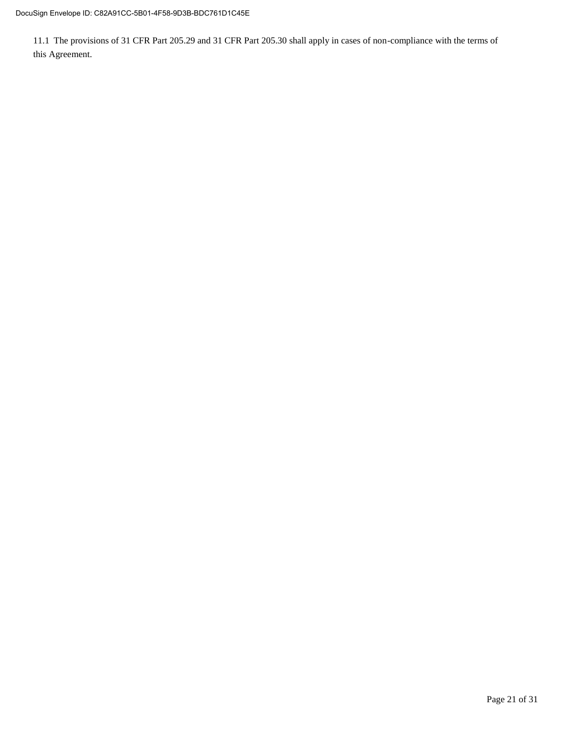11.1 The provisions of 31 CFR Part 205.29 and 31 CFR Part 205.30 shall apply in cases of non-compliance with the terms of this Agreement.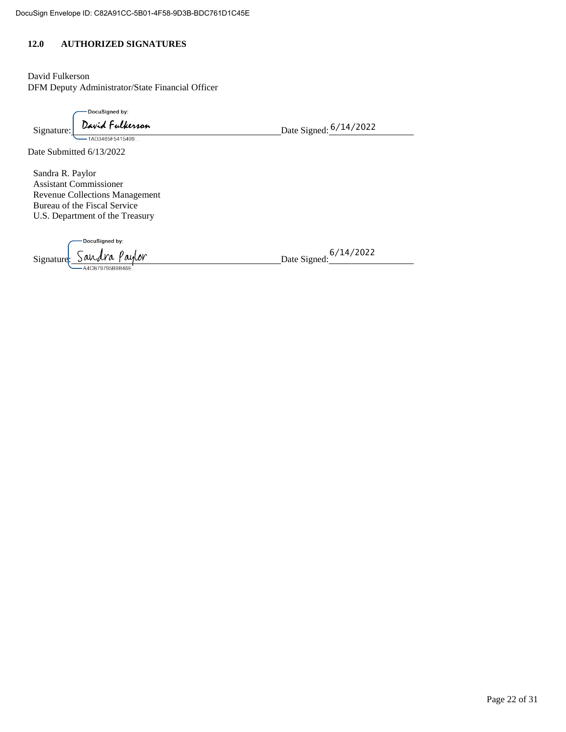#### **12.0 AUTHORIZED SIGNATURES**

David Fulkerson DFM Deputy Administrator/State Financial Officer

-DocuSigned by:

Signature: David Fulkerson<br>
Date Signed: 6/14/2022

Date Submitted 6/13/2022

Sandra R. Paylor Assistant Commissioner Revenue Collections Management Bureau of the Fiscal Service U.S. Department of the Treasury

DocuSigned by: Signature Sandra Paylor

Date Signed: <sup>6/14/2022</sup>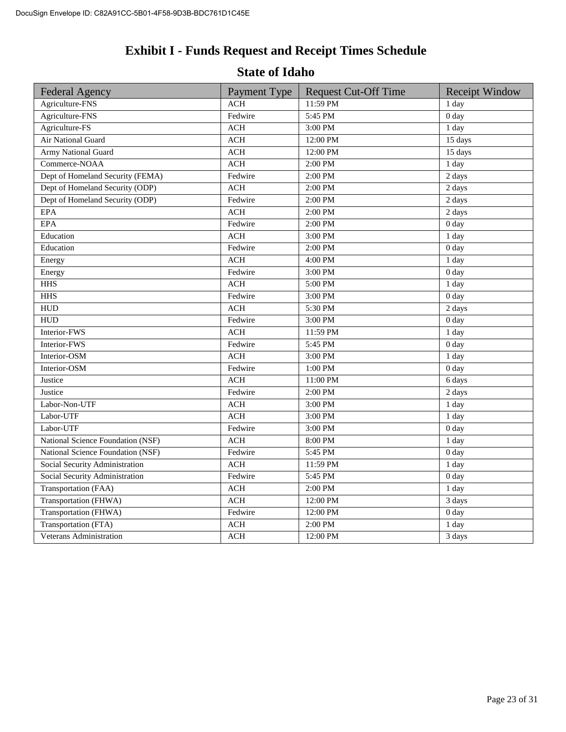## **Exhibit I - Funds Request and Receipt Times Schedule**

### **State of Idaho**

| <b>Federal Agency</b>             | Payment Type                     | <b>Request Cut-Off Time</b> | <b>Receipt Window</b> |
|-----------------------------------|----------------------------------|-----------------------------|-----------------------|
| Agriculture-FNS                   | <b>ACH</b>                       | 11:59 PM                    | 1 day                 |
| Agriculture-FNS                   | Fedwire                          | 5:45 PM                     | 0 <sub>day</sub>      |
| Agriculture-FS                    | <b>ACH</b>                       | 3:00 PM                     | $\overline{1}$ day    |
| Air National Guard                | $\mathbb{A}\mathbb{C}\mathbb{H}$ | 12:00 PM                    | 15 days               |
| <b>Army National Guard</b>        | <b>ACH</b>                       | 12:00 PM                    | 15 days               |
| Commerce-NOAA                     | ACH                              | 2:00 PM                     | 1 day                 |
| Dept of Homeland Security (FEMA)  | Fedwire                          | 2:00 PM                     | 2 days                |
| Dept of Homeland Security (ODP)   | <b>ACH</b>                       | 2:00 PM                     | 2 days                |
| Dept of Homeland Security (ODP)   | Fedwire                          | 2:00 PM                     | 2 days                |
| $\rm{EPA}$                        | <b>ACH</b>                       | 2:00 PM                     | 2 days                |
| <b>EPA</b>                        | Fedwire                          | 2:00 PM                     | 0 <sub>day</sub>      |
| Education                         | <b>ACH</b>                       | 3:00 PM                     | 1 day                 |
| Education                         | Fedwire                          | 2:00 PM                     | 0 <sub>day</sub>      |
| Energy                            | <b>ACH</b>                       | 4:00 PM                     | 1 day                 |
| Energy                            | Fedwire                          | 3:00 PM                     | 0 <sub>day</sub>      |
| <b>HHS</b>                        | <b>ACH</b>                       | 5:00 PM                     | 1 day                 |
| <b>HHS</b>                        | Fedwire                          | 3:00 PM                     | 0 <sub>day</sub>      |
| <b>HUD</b>                        | <b>ACH</b>                       | 5:30 PM                     | 2 days                |
| <b>HUD</b>                        | Fedwire                          | 3:00 PM                     | 0 <sub>day</sub>      |
| Interior-FWS                      | <b>ACH</b>                       | 11:59 PM                    | 1 day                 |
| Interior-FWS                      | Fedwire                          | 5:45 PM                     | 0 <sub>day</sub>      |
| Interior-OSM                      | <b>ACH</b>                       | 3:00 PM                     | 1 day                 |
| Interior-OSM                      | Fedwire                          | 1:00 PM                     | 0 <sub>day</sub>      |
| Justice                           | <b>ACH</b>                       | 11:00 PM                    | 6 days                |
| Justice                           | Fedwire                          | 2:00 PM                     | 2 days                |
| Labor-Non-UTF                     | <b>ACH</b>                       | 3:00 PM                     | 1 day                 |
| Labor-UTF                         | <b>ACH</b>                       | 3:00 PM                     | 1 day                 |
| Labor-UTF                         | Fedwire                          | 3:00 PM                     | 0 <sub>day</sub>      |
| National Science Foundation (NSF) | <b>ACH</b>                       | 8:00 PM                     | 1 day                 |
| National Science Foundation (NSF) | Fedwire                          | 5:45 PM                     | 0 <sub>day</sub>      |
| Social Security Administration    | <b>ACH</b>                       | 11:59 PM                    | 1 day                 |
| Social Security Administration    | Fedwire                          | 5:45 PM                     | 0 <sub>day</sub>      |
| Transportation (FAA)              | <b>ACH</b>                       | 2:00 PM                     | 1 day                 |
| Transportation (FHWA)             | <b>ACH</b>                       | 12:00 PM                    | 3 days                |
| Transportation (FHWA)             | Fedwire                          | 12:00 PM                    | 0 <sub>day</sub>      |
| Transportation (FTA)              | <b>ACH</b>                       | 2:00 PM                     | 1 day                 |
| Veterans Administration           | $\rm ACH$                        | 12:00 PM                    | 3 days                |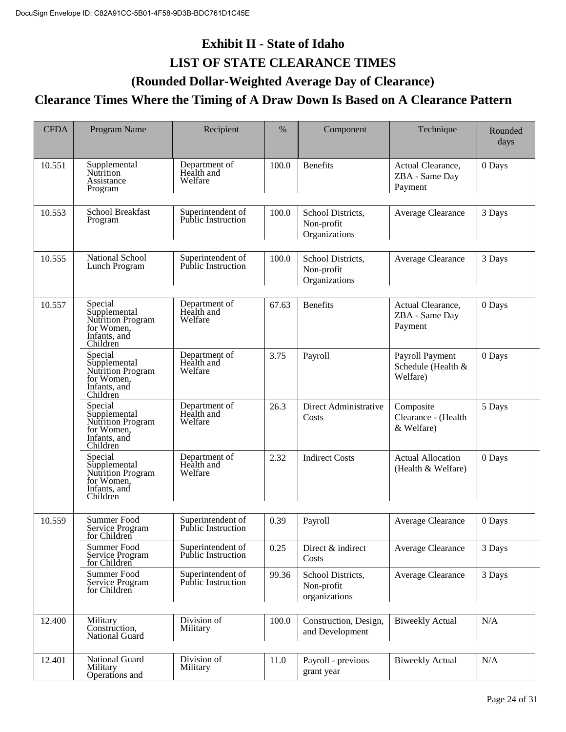## **Exhibit II - State of Idaho LIST OF STATE CLEARANCE TIMES**

### **(Rounded Dollar-Weighted Average Day of Clearance)**

### **Clearance Times Where the Timing of A Draw Down Is Based on A Clearance Pattern**

| <b>CFDA</b> | Program Name                                                                           | Recipient                                      | %     | Component                                        | Technique                                         | Rounded<br>days |
|-------------|----------------------------------------------------------------------------------------|------------------------------------------------|-------|--------------------------------------------------|---------------------------------------------------|-----------------|
| 10.551      | Supplemental<br>Nutrition<br>Assistance<br>Program                                     | Department of<br>Health and<br>Welfare         | 100.0 | <b>Benefits</b>                                  | Actual Clearance,<br>ZBA - Same Day<br>Payment    | 0 Days          |
| 10.553      | School Breakfast<br>Program                                                            | Superintendent of<br><b>Public Instruction</b> | 100.0 | School Districts,<br>Non-profit<br>Organizations | Average Clearance                                 | 3 Days          |
| 10.555      | National School<br>Lunch Program                                                       | Superintendent of<br><b>Public Instruction</b> | 100.0 | School Districts,<br>Non-profit<br>Organizations | Average Clearance                                 | 3 Days          |
| 10.557      | Special<br>Supplemental<br>Nutrition Program<br>for Women,<br>Infants, and<br>Children | Department of<br>Health and<br>Welfare         | 67.63 | <b>Benefits</b>                                  | Actual Clearance,<br>ZBA - Same Day<br>Payment    | 0 Days          |
|             | Special<br>Supplemental<br>Nutrition Program<br>for Women,<br>Infants, and<br>Children | Department of<br>Health and<br>Welfare         | 3.75  | Payroll                                          | Payroll Payment<br>Schedule (Health &<br>Welfare) | 0 Days          |
|             | Special<br>Supplemental<br>Nutrition Program<br>for Women,<br>Infants, and<br>Children | Department of<br>Health and<br>Welfare         | 26.3  | Direct Administrative<br>Costs                   | Composite<br>Clearance - (Health<br>& Welfare)    | 5 Days          |
|             | Special<br>Supplemental<br>Nutrition Program<br>for Women,<br>Infants, and<br>Children | Department of<br>Health and<br>Welfare         | 2.32  | <b>Indirect Costs</b>                            | <b>Actual Allocation</b><br>(Health & Welfare)    | 0 Days          |
| 10.559      | Summer Food<br>Service Program<br>for Children                                         | Superintendent of<br><b>Public Instruction</b> | 0.39  | Payroll                                          | Average Clearance                                 | 0 Days          |
|             | Summer Food<br>Service Program<br>for Children                                         | Superintendent of<br><b>Public Instruction</b> | 0.25  | Direct & indirect<br>Costs                       | Average Clearance                                 | 3 Days          |
|             | Summer Food<br>Service Program<br>for Children                                         | Superintendent of<br><b>Public Instruction</b> | 99.36 | School Districts,<br>Non-profit<br>organizations | Average Clearance                                 | 3 Days          |
| 12.400      | Military<br>Construction,<br>National Guard                                            | Division of<br>Military                        | 100.0 | Construction, Design,<br>and Development         | <b>Biweekly Actual</b>                            | N/A             |
| 12.401      | National Guard<br>Military<br>Operations and                                           | Division of<br>Military                        | 11.0  | Payroll - previous<br>grant year                 | <b>Biweekly Actual</b>                            | N/A             |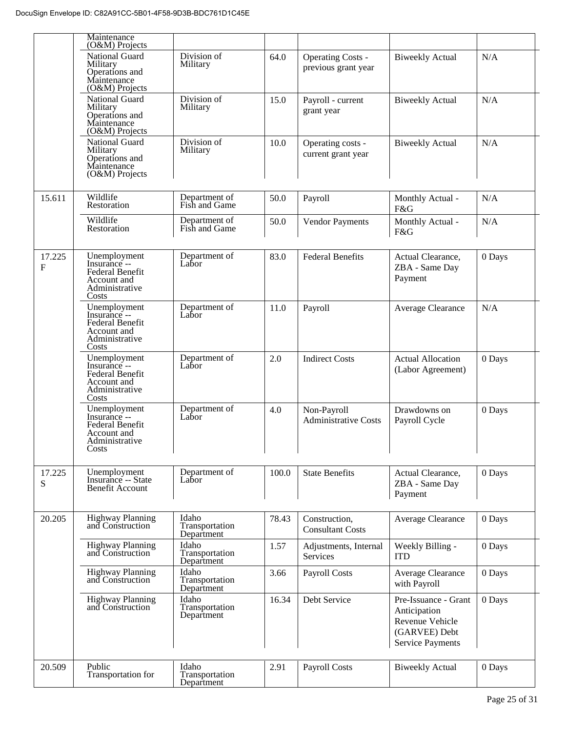|                        | (O&M) Projects<br>National Guard                                                                 | Division of                           | 64.0  | <b>Operating Costs -</b>                   | <b>Biweekly Actual</b>                                                                              | N/A    |
|------------------------|--------------------------------------------------------------------------------------------------|---------------------------------------|-------|--------------------------------------------|-----------------------------------------------------------------------------------------------------|--------|
|                        | Military<br>Operations and<br>Maintenance<br>(O&M) Projects                                      | Military                              |       | previous grant year                        |                                                                                                     |        |
|                        | <b>National Guard</b><br>Military<br>Operations and<br>Maintenance<br>(O&M) Projects             | Division of<br>Military               | 15.0  | Payroll - current<br>grant year            | <b>Biweekly Actual</b>                                                                              | N/A    |
|                        | National Guard<br>Military<br>Operations and<br>Maintenance<br>(O&M) Projects                    | Division of<br>Military               | 10.0  | Operating costs -<br>current grant year    | <b>Biweekly Actual</b>                                                                              | N/A    |
| 15.611                 | Wildlife<br>Restoration                                                                          | Department of<br>Fish and Game        | 50.0  | Payroll                                    | Monthly Actual -<br>F&G                                                                             | N/A    |
|                        | Wildlife<br>Restoration                                                                          | Department of<br>Fish and Game        | 50.0  | <b>Vendor Payments</b>                     | Monthly Actual -<br>F&G                                                                             | N/A    |
| 17.225<br>$\mathbf{F}$ | Unemployment<br>Insurance --<br>Federal Benefit<br>Account and<br>Administrative<br>Costs        | Department of<br>Labor                | 83.0  | <b>Federal Benefits</b>                    | Actual Clearance,<br>ZBA - Same Day<br>Payment                                                      | 0 Days |
|                        | Unemployment<br>Insurance --<br>Federal Benefit<br>Account and<br>Administrative<br>Costs        | Department of<br>Labor                | 11.0  | Payroll                                    | Average Clearance                                                                                   | N/A    |
|                        | Unemployment<br>Insurance --<br>Federal Benefit<br>Account and<br>Administrative<br>Costs        | Department of<br>Labor                | 2.0   | <b>Indirect Costs</b>                      | <b>Actual Allocation</b><br>(Labor Agreement)                                                       | 0 Days |
|                        | Unemployment<br>Insurance --<br><b>Federal Benefit</b><br>Account and<br>Administrative<br>Costs | Department of<br>Labor                | 4.0   | Non-Payroll<br><b>Administrative Costs</b> | Drawdowns on<br>Payroll Cycle                                                                       | 0 Days |
| 17.225<br>S            | Unemployment<br>Insurance -- State<br><b>Benefit Account</b>                                     | Department of<br>Labor                | 100.0 | <b>State Benefits</b>                      | Actual Clearance,<br>ZBA - Same Day<br>Payment                                                      | 0 Days |
| 20.205                 | Highway Planning<br>and Construction                                                             | Idaho<br>Transportation<br>Department | 78.43 | Construction,<br><b>Consultant Costs</b>   | Average Clearance                                                                                   | 0 Days |
|                        | <b>Highway Planning</b><br>and Construction                                                      | Idaho<br>Transportation<br>Department | 1.57  | Adjustments, Internal<br>Services          | Weekly Billing -<br><b>ITD</b>                                                                      | 0 Days |
|                        | <b>Highway Planning</b><br>and Construction                                                      | Idaho<br>Transportation<br>Department | 3.66  | Payroll Costs                              | Average Clearance<br>with Payroll                                                                   | 0 Days |
|                        | <b>Highway Planning</b><br>and Construction                                                      | Idaho<br>Transportation<br>Department | 16.34 | Debt Service                               | Pre-Issuance - Grant<br>Anticipation<br>Revenue Vehicle<br>(GARVEE) Debt<br><b>Service Payments</b> | 0 Days |
| 20.509                 | Public<br>Transportation for                                                                     | Idaho<br>Transportation<br>Department | 2.91  | <b>Payroll Costs</b>                       | <b>Biweekly Actual</b>                                                                              | 0 Days |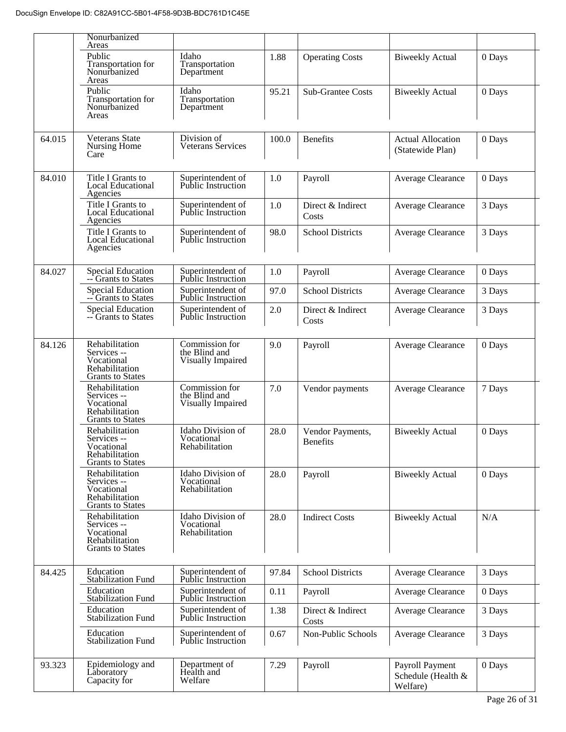|        | Nonurbanized                                                                             |                                                      |       |                              |                                                   |        |  |
|--------|------------------------------------------------------------------------------------------|------------------------------------------------------|-------|------------------------------|---------------------------------------------------|--------|--|
|        | Areas<br>Public<br>Transportation for<br>Nonurbanized<br>Areas                           | Idaho<br>Transportation<br>Department                | 1.88  | <b>Operating Costs</b>       | <b>Biweekly Actual</b>                            | 0 Days |  |
|        | Public<br>Transportation for<br>Nonurbanized<br>Areas                                    | Idaho<br>Transportation<br>Department                | 95.21 | <b>Sub-Grantee Costs</b>     | <b>Biweekly Actual</b>                            | 0 Days |  |
| 64.015 | <b>Veterans State</b><br>Nursing Home<br>Care                                            | Division of<br><b>Veterans Services</b>              | 100.0 | <b>Benefits</b>              | <b>Actual Allocation</b><br>(Statewide Plan)      | 0 Days |  |
| 84.010 | Title I Grants to<br><b>Local Educational</b><br>Agencies                                | Superintendent of<br><b>Public Instruction</b>       | 1.0   | Payroll                      | Average Clearance                                 | 0 Days |  |
|        | Title I Grants to<br><b>Local Educational</b><br>Agencies                                | Superintendent of<br><b>Public Instruction</b>       | 1.0   | Direct & Indirect<br>Costs   | Average Clearance                                 | 3 Days |  |
|        | Title I Grants to<br><b>Local Educational</b><br>Agencies                                | Superintendent of<br><b>Public Instruction</b>       | 98.0  | <b>School Districts</b>      | Average Clearance                                 | 3 Days |  |
| 84.027 | Special Education<br>-- Grants to States                                                 | Superintendent of<br>Public Instruction              | 1.0   | Payroll                      | Average Clearance                                 | 0 Days |  |
|        | <b>Special Education</b><br>-- Grants to States                                          | Superintendent of<br>Public Instruction              | 97.0  | <b>School Districts</b>      | Average Clearance                                 | 3 Days |  |
|        | <b>Special Education</b><br>-- Grants to States                                          | Superintendent of<br><b>Public Instruction</b>       | 2.0   | Direct & Indirect<br>Costs   | Average Clearance                                 | 3 Days |  |
| 84.126 | Rehabilitation<br>Services --<br>Vocational<br>Rehabilitation<br><b>Grants to States</b> | Commission for<br>the Blind and<br>Visually Impaired | 9.0   | Payroll                      | Average Clearance                                 | 0 Days |  |
|        | Rehabilitation<br>Services --<br>Vocational<br>Rehabilitation<br><b>Grants to States</b> | Commission for<br>the Blind and<br>Visually Impaired | 7.0   | Vendor payments              | Average Clearance                                 | 7 Days |  |
|        | Rehabilitation<br>Services --<br>Vocational<br>Rehabilitation<br><b>Grants to States</b> | Idaho Division of<br>Vocational<br>Rehabilitation    | 28.0  | Vendor Payments,<br>Benefits | <b>Biweekly Actual</b>                            | 0 Days |  |
|        | Rehabilitation<br>Services --<br>Vocational<br>Rehabilitation<br><b>Grants to States</b> | Idaho Division of<br>Vocational<br>Rehabilitation    | 28.0  | Payroll                      | <b>Biweekly Actual</b>                            | 0 Days |  |
|        | Rehabilitation<br>Services --<br>Vocational<br>Rehabilitation<br><b>Grants to States</b> | Idaho Division of<br>Vocational<br>Rehabilitation    | 28.0  | <b>Indirect Costs</b>        | <b>Biweekly Actual</b>                            | N/A    |  |
| 84.425 | Education<br><b>Stabilization Fund</b>                                                   | Superintendent of<br>Public Instruction              | 97.84 | <b>School Districts</b>      | Average Clearance                                 | 3 Days |  |
|        | Education<br><b>Stabilization Fund</b>                                                   | Superintendent of<br>Public Instruction              | 0.11  | Payroll                      | Average Clearance                                 | 0 Days |  |
|        | Education<br><b>Stabilization Fund</b>                                                   | Superintendent of<br><b>Public Instruction</b>       | 1.38  | Direct & Indirect<br>Costs   | Average Clearance                                 | 3 Days |  |
|        | Education<br><b>Stabilization Fund</b>                                                   | Superintendent of<br>Public Instruction              | 0.67  | Non-Public Schools           | Average Clearance                                 | 3 Days |  |
| 93.323 | Epidemiology and<br>Laboratory<br>Capacity for                                           | Department of<br>Health and<br>Welfare               | 7.29  | Payroll                      | Payroll Payment<br>Schedule (Health &<br>Welfare) | 0 Days |  |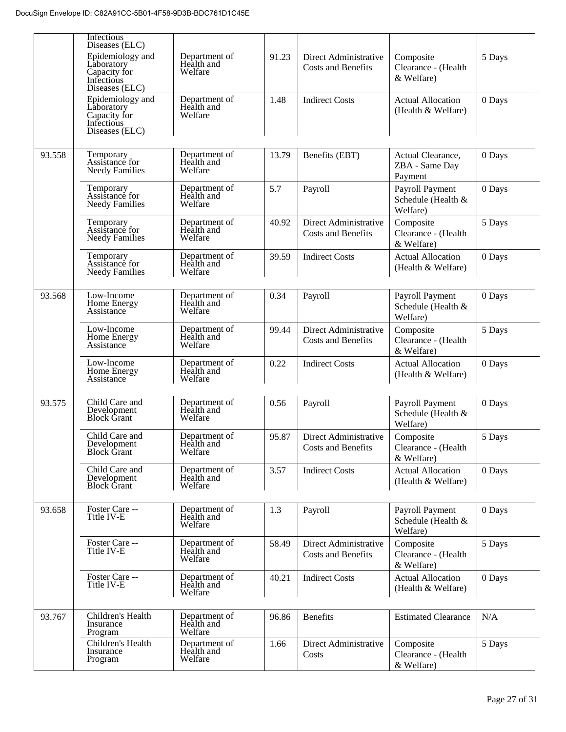|        | Infectious<br>Diseases (ELC)                                                   |                                        |       |                                                    |                                                   |        |
|--------|--------------------------------------------------------------------------------|----------------------------------------|-------|----------------------------------------------------|---------------------------------------------------|--------|
|        | Epidemiology and<br>Laboratory<br>Capacity for<br>Infectious<br>Diseases (ELC) | Department of<br>Health and<br>Welfare | 91.23 | Direct Administrative<br><b>Costs and Benefits</b> | Composite<br>Clearance - (Health<br>& Welfare)    | 5 Days |
|        | Epidemiology and<br>Laboratory<br>Capacity for<br>Infectious<br>Diseases (ELC) | Department of<br>Health and<br>Welfare | 1.48  | <b>Indirect Costs</b>                              | <b>Actual Allocation</b><br>(Health & Welfare)    | 0 Days |
| 93.558 | Temporary<br>Assistance for<br><b>Needy Families</b>                           | Department of<br>Health and<br>Welfare | 13.79 | Benefits (EBT)                                     | Actual Clearance,<br>ZBA - Same Day<br>Payment    | 0 Days |
|        | Temporary<br>Assistance for<br><b>Needy Families</b>                           | Department of<br>Health and<br>Welfare | 5.7   | Payroll                                            | Payroll Payment<br>Schedule (Health &<br>Welfare) | 0 Days |
|        | Temporary<br>Assistance for<br><b>Needy Families</b>                           | Department of<br>Health and<br>Welfare | 40.92 | Direct Administrative<br><b>Costs and Benefits</b> | Composite<br>Clearance - (Health<br>& Welfare)    | 5 Days |
|        | Temporary<br>Assistance for<br><b>Needy Families</b>                           | Department of<br>Health and<br>Welfare | 39.59 | <b>Indirect Costs</b>                              | <b>Actual Allocation</b><br>(Health & Welfare)    | 0 Days |
| 93.568 | Low-Income<br>Home Energy<br>Assistance                                        | Department of<br>Health and<br>Welfare | 0.34  | Payroll                                            | Payroll Payment<br>Schedule (Health &<br>Welfare) | 0 Days |
|        | Low-Income<br>Home Energy<br>Assistance                                        | Department of<br>Health and<br>Welfare | 99.44 | Direct Administrative<br><b>Costs and Benefits</b> | Composite<br>Clearance - (Health<br>& Welfare)    | 5 Days |
|        | Low-Income<br>Home Energy<br>Assistance                                        | Department of<br>Health and<br>Welfare | 0.22  | <b>Indirect Costs</b>                              | <b>Actual Allocation</b><br>(Health & Welfare)    | 0 Days |
| 93.575 | Child Care and<br>Development<br><b>Block Grant</b>                            | Department of<br>Health and<br>Welfare | 0.56  | Payroll                                            | Payroll Payment<br>Schedule (Health &<br>Welfare) | 0 Days |
|        | Child Care and<br>Development<br>Block Grant                                   | Department of<br>Health and<br>Welfare | 95.87 | Direct Administrative<br>Costs and Benefits        | Composite<br>Clearance - (Health<br>& Welfare)    | 5 Days |
|        | Child Care and<br>Development<br><b>Block Grant</b>                            | Department of<br>Health and<br>Welfare | 3.57  | <b>Indirect Costs</b>                              | <b>Actual Allocation</b><br>(Health & Welfare)    | 0 Days |
| 93.658 | Foster Care --<br>Title IV-E                                                   | Department of<br>Health and<br>Welfare | 1.3   | Payroll                                            | Payroll Payment<br>Schedule (Health &<br>Welfare) | 0 Days |
|        | Foster Care --<br>Title IV-E                                                   | Department of<br>Health and<br>Welfare | 58.49 | Direct Administrative<br>Costs and Benefits        | Composite<br>Clearance - (Health<br>& Welfare)    | 5 Days |
|        | Foster Care --<br>Title IV-E                                                   | Department of<br>Health and<br>Welfare | 40.21 | <b>Indirect Costs</b>                              | <b>Actual Allocation</b><br>(Health & Welfare)    | 0 Days |
| 93.767 | Children's Health<br>Insurance<br>Program                                      | Department of<br>Health and<br>Welfare | 96.86 | <b>Benefits</b>                                    | <b>Estimated Clearance</b>                        | N/A    |
|        | Children's Health<br>Insurance<br>Program                                      | Department of<br>Health and<br>Welfare | 1.66  | Direct Administrative<br>Costs                     | Composite<br>Clearance - (Health<br>& Welfare)    | 5 Days |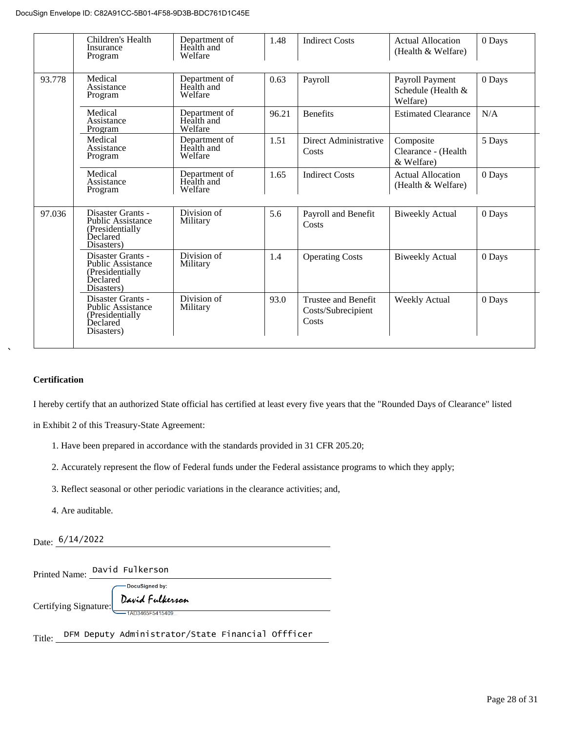| Children's Health<br>Insurance<br>Program                                                   | Department of<br>Health and<br>Welfare | 1.48  | <b>Indirect Costs</b>                              | Actual Allocation<br>(Health & Welfare)           | 0 Days |
|---------------------------------------------------------------------------------------------|----------------------------------------|-------|----------------------------------------------------|---------------------------------------------------|--------|
| Medical<br>Assistance<br>Program                                                            | Department of<br>Health and<br>Welfare | 0.63  | Payroll                                            | Payroll Payment<br>Schedule (Health &<br>Welfare) | 0 Days |
| Medical<br>Assistance<br>Program                                                            | Department of<br>Health and<br>Welfare | 96.21 | <b>Benefits</b>                                    | <b>Estimated Clearance</b>                        | N/A    |
| Medical<br>Assistance<br>Program                                                            | Department of<br>Health and<br>Welfare | 1.51  | Direct Administrative<br>Costs                     | Composite<br>Clearance - (Health<br>& Welfare)    | 5 Days |
| Medical<br>Assistance<br>Program                                                            | Department of<br>Health and<br>Welfare | 1.65  | <b>Indirect Costs</b>                              | <b>Actual Allocation</b><br>(Health & Welfare)    | 0 Days |
| Disaster Grants -<br><b>Public Assistance</b><br>(Presidentially)<br>Declared<br>Disasters) | Division of<br>Military                | 5.6   | Payroll and Benefit<br>Costs                       | <b>Biweekly Actual</b>                            | 0 Days |
| Disaster Grants -<br><b>Public Assistance</b><br>(Presidentially)<br>Declared<br>Disasters) | Division of<br>Military                | 1.4   | <b>Operating Costs</b>                             | <b>Biweekly Actual</b>                            | 0 Days |
| Disaster Grants -<br><b>Public Assistance</b><br>(Presidentially)<br>Declared<br>Disasters) | Division of<br>Military                | 93.0  | Trustee and Benefit<br>Costs/Subrecipient<br>Costs | <b>Weekly Actual</b>                              | 0 Days |
|                                                                                             |                                        |       |                                                    |                                                   |        |

#### **Certification**

I hereby certify that an authorized State official has certified at least every five years that the "Rounded Days of Clearance" listed

in Exhibit 2 of this Treasury-State Agreement:

- 1. Have been prepared in accordance with the standards provided in 31 CFR 205.20;
- 2. Accurately represent the flow of Federal funds under the Federal assistance programs to which they apply;
- 3. Reflect seasonal or other periodic variations in the clearance activities; and,
- 4. Are auditable.

Date:  $\frac{6/14/2022}{2}$ 

Printed Name: David Fulkerson

Certifying Signature:

DocuSigned by: David Fulkerson  $-14034655541540$ 

Title: DFM Deputy Administrator/State Financial Offficer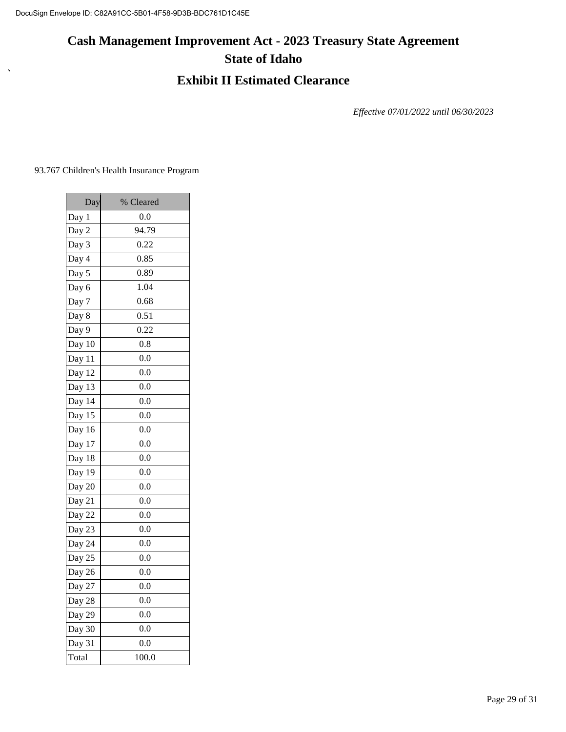# **Cash Management Improvement Act - 2023 Treasury State Agreement State of Idaho**

### **Exhibit II Estimated Clearance**

*Effective 07/01/2022 until 06/30/2023*

93.767 Children's Health Insurance Program

 $\bar{\mathbf{v}}$ 

| Day                           | % Cleared |
|-------------------------------|-----------|
| Day 1                         | 0.0       |
| Day 2                         | 94.79     |
| Day 3                         | 0.22      |
| Day 4                         | 0.85      |
| Day 5                         | 0.89      |
| Day 6                         | 1.04      |
| Day 7                         | 0.68      |
| Day 8                         | 0.51      |
| Day 9                         | 0.22      |
| Day 10                        | 0.8       |
| Day 11                        | 0.0       |
| Day 12                        | 0.0       |
| Day 13                        | 0.0       |
| Day 14                        | 0.0       |
| Day 15                        | 0.0       |
| Day 16                        | 0.0       |
| Day 17                        | 0.0       |
| Day 18                        | 0.0       |
| Day 19                        | 0.0       |
| $\frac{\overline{Day 20}}{2}$ | 0.0       |
| Day 21                        | 0.0       |
| Day 22                        | 0.0       |
| Day 23                        | 0.0       |
| Day 24                        | 0.0       |
| Day 25                        | 0.0       |
| Day 26                        | 0.0       |
| Day 27                        | 0.0       |
| Day 28                        | 0.0       |
| Day 29                        | 0.0       |
| Day 30                        | 0.0       |
| Day 31                        | 0.0       |
| Total                         | 100.0     |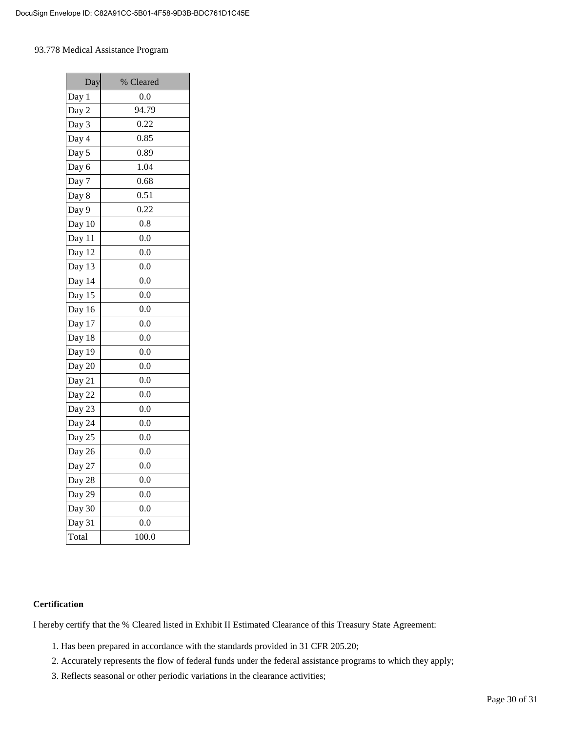#### 93.778 Medical Assistance Program

| Day    | % Cleared    |
|--------|--------------|
| Day 1  | 0.0          |
| Day 2  | 94.79        |
| Day 3  | 0.22         |
| Day 4  | 0.85         |
| Day 5  | 0.89         |
| Day 6  | 1.04         |
| Day 7  | 0.68         |
| Day 8  | 0.51         |
| Day 9  | 0.22         |
| Day 10 | 0.8          |
| Day 11 | 0.0          |
| Day 12 | 0.0          |
| Day 13 | $_{\rm 0.0}$ |
| Day 14 | 0.0          |
| Day 15 | 0.0          |
| Day 16 | 0.0          |
| Day 17 | 0.0          |
| Day 18 | 0.0          |
| Day 19 | 0.0          |
| Day 20 | 0.0          |
| Day 21 | 0.0          |
| Day 22 | 0.0          |
| Day 23 | 0.0          |
| Day 24 | 0.0          |
| Day 25 | 0.0          |
| Day 26 | 0.0          |
| Day 27 | 0.0          |
| Day 28 | 0.0          |
| Day 29 | 0.0          |
| Day 30 | 0.0          |
| Day 31 | 0.0          |
| Total  | 100.0        |

#### **Certification**

I hereby certify that the % Cleared listed in Exhibit II Estimated Clearance of this Treasury State Agreement:

- 1. Has been prepared in accordance with the standards provided in 31 CFR 205.20;
- 2. Accurately represents the flow of federal funds under the federal assistance programs to which they apply;
- 3. Reflects seasonal or other periodic variations in the clearance activities;